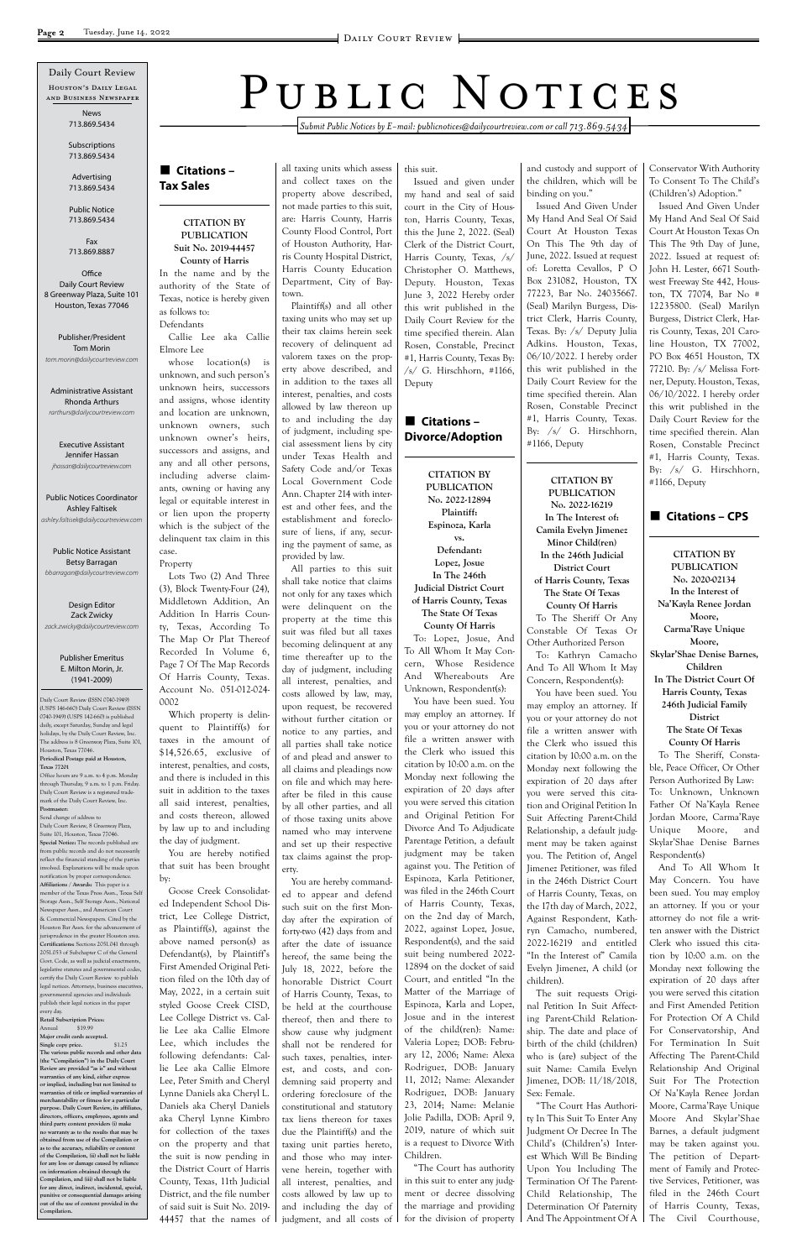*Submit Public Notices by E-mail: publicnotices@dailycourtreview.com or call 713.869.5434*

#### n **Citations – Tax Sales**

#### **CITATION BY PUBLICATION Suit No. 2019-44457**

**County of Harris** In the name and by the authority of the State of Texas, notice is hereby given as follows to: Defendants

Callie Lee aka Callie Elmore Lee

whose location(s) is unknown, and such person's unknown heirs, successors and assigns, whose identity and location are unknown, unknown owners, such unknown owner's heirs, successors and assigns, and any and all other persons, including adverse claimants, owning or having any legal or equitable interest in or lien upon the property which is the subject of the delinquent tax claim in this case.

as Plaintiff(s), against the above named person(s) as Defendant(s), by Plaintiff's First Amended Original Petition filed on the 10th day of May, 2022, in a certain suit styled Goose Creek CISD, Lee College District vs. Callie Lee aka Callie Elmore Lee, which includes the following defendants: Callie Lee aka Callie Elmore Lee, Peter Smith and Cheryl Lynne Daniels aka Cheryl L. Daniels aka Cheryl Daniels aka Cheryl Lynne Kimbro for collection of the taxes on the property and that the suit is now pending in the District Court of Harris County, Texas, 11th Judicial District, and the file number of said suit is Suit No. 2019- 44457 that the names of

Property

Lots Two (2) And Three (3), Block Twenty-Four (24), Middletown Addition, An Addition In Harris County, Texas, According To The Map Or Plat Thereof Recorded In Volume 6, Page 7 Of The Map Records Of Harris County, Texas. Account No. 051-012-024- 0002

Which property is delinquent to Plaintiff(s) for taxes in the amount of \$14,526.65, exclusive of interest, penalties, and costs, and there is included in this suit in addition to the taxes all said interest, penalties, and costs thereon, allowed by law up to and including the day of judgment.

You are hereby notified that suit has been brought by:

Goose Creek Consolidated Independent School District, Lee College District, all taxing units which assess and collect taxes on the property above described, not made parties to this suit, are: Harris County, Harris County Flood Control, Port of Houston Authority, Harris County Hospital District, Harris County Education Department, City of Baytown.

### **n** Citations – **Divorce/Adoption**

Plaintiff(s) and all other taxing units who may set up their tax claims herein seek recovery of delinquent ad valorem taxes on the property above described, and in addition to the taxes all interest, penalties, and costs allowed by law thereon up to and including the day of judgment, including special assessment liens by city under Texas Health and Safety Code and/or Texas Local Government Code Ann. Chapter 214 with interest and other fees, and the establishment and foreclosure of liens, if any, securing the payment of same, as provided by law.

All parties to this suit shall take notice that claims not only for any taxes which were delinquent on the property at the time this suit was filed but all taxes becoming delinquent at any time thereafter up to the day of judgment, including all interest, penalties, and costs allowed by law, may, upon request, be recovered without further citation or notice to any parties, and all parties shall take notice of and plead and answer to all claims and pleadings now on file and which may hereafter be filed in this cause by all other parties, and all of those taxing units above named who may intervene and set up their respective tax claims against the property.

You are hereby commanded to appear and defend such suit on the first Monday after the expiration of forty-two (42) days from and after the date of issuance hereof, the same being the July 18, 2022, before the honorable District Court of Harris County, Texas, to be held at the courthouse thereof, then and there to show cause why judgment shall not be rendered for such taxes, penalties, interest, and costs, and condemning said property and ordering foreclosure of the constitutional and statutory tax liens thereon for taxes due the Plaintiff(s) and the taxing unit parties hereto, and those who may intervene herein, together with all interest, penalties, and costs allowed by law up to and including the day of judgment, and all costs of

this suit.

Issued and given under my hand and seal of said court in the City of Houston, Harris County, Texas, this the June 2, 2022. (Seal) Clerk of the District Court, Harris County, Texas, /s/ Christopher O. Matthews, Deputy. Houston, Texas June 3, 2022 Hereby order this writ published in the Daily Court Review for the time specified therein. Alan Rosen, Constable, Precinct #1, Harris County, Texas By: /s/ G. Hirschhorn, #1166, Deputy

**CITATION BY PUBLICATION No. 2022-12894 Plaintiff: Espinoza, Karla vs. Defendant: Lopez, Josue In The 246th Judicial District Court of Harris County, Texas The State Of Texas County Of Harris**

To: Lopez, Josue, And To All Whom It May Concern, Whose Residence And Whereabouts Are Unknown, Respondent(s):

You have been sued. You may employ an attorney. If you or your attorney do not file a written answer with the Clerk who issued this citation by 10:00 a.m. on the Monday next following the expiration of 20 days after you were served this citation and Original Petition For Divorce And To Adjudicate Parentage Petition, a default judgment may be taken against you. The Petition of Espinoza, Karla Petitioner, was filed in the 246th Court of Harris County, Texas, on the 2nd day of March, 2022, against Lopez, Josue, Respondent(s), and the said suit being numbered 2022- 12894 on the docket of said Court, and entitled "In the Matter of the Marriage of Espinoza, Karla and Lopez, Josue and in the interest of the child(ren): Name: Valeria Lopez; DOB: February 12, 2006; Name: Alexa Rodriguez, DOB: January 11, 2012; Name: Alexander Rodriguez, DOB: January 23, 2014; Name: Melanie Jolie Padilla, DOB: April 9, 2019, nature of which suit is a request to Divorce With Children. "The Court has authority in this suit to enter any judgment or decree dissolving the marriage and providing for the division of property

and custody and support of the children, which will be binding on you."

**Office** Daily Court Review 8 Greenway Plaza, Suite 101 Houston, Texas 77046

Issued And Given Under My Hand And Seal Of Said Court At Houston Texas On This The 9th day of June, 2022. Issued at request of: Loretta Cevallos, P O Box 231082, Houston, TX 77223, Bar No. 24035667. (Seal) Marilyn Burgess, District Clerk, Harris County, Texas. By: /s/ Deputy Julia Adkins. Houston, Texas, 06/10/2022. I hereby order this writ published in the Daily Court Review for the time specified therein. Alan Rosen, Constable Precinct #1, Harris County, Texas. By: /s/ G. Hirschhorn, #1166, Deputy

**CITATION BY PUBLICATION No. 2022-16219 In The Interest of: Camila Evelyn Jimenez Minor Child(ren) In the 246th Judicial District Court of Harris County, Texas The State Of Texas County Of Harris**

To The Sheriff Or Any Constable Of Texas Or Other Authorized Person To: Kathryn Camacho And To All Whom It May Concern, Respondent(s):

You have been sued. You may employ an attorney. If you or your attorney do not file a written answer with the Clerk who issued this citation by 10:00 a.m. on the Monday next following the expiration of 20 days after you were served this citation and Original Petition In Suit Affecting Parent-Child Relationship, a default judgment may be taken against you. The Petition of, Angel Jimenez Petitioner, was filed in the 246th District Court of Harris County, Texas, on the 17th day of March, 2022, Against Respondent, Kathryn Camacho, numbered, 2022-16219 and entitled "In the Interest of" Camila Evelyn Jimenez, A child (or children). The suit requests Original Petition In Suit Affecting Parent-Child Relationship. The date and place of birth of the child (children) who is (are) subject of the suit Name: Camila Evelyn Jimenez, DOB: 11/18/2018, Sex: Female. "The Court Has Authority In This Suit To Enter Any Judgment Or Decree In The Child's (Children's) Interest Which Will Be Binding Upon You Including The Termination Of The Parent-Child Relationship, The Determination Of Paternity And The Appointment Of A

Conservator With Authority To Consent To The Child's (Children's) Adoption."

Issued And Given Under My Hand And Seal Of Said Court At Houston Texas On This The 9th Day of June, 2022. Issued at request of: John H. Lester, 6671 Southwest Freeway Ste 442, Houston, TX 77074, Bar No # 12235800. (Seal) Marilyn Burgess, District Clerk, Harris County, Texas, 201 Caroline Houston, TX 77002, PO Box 4651 Houston, TX 77210. By: /s/ Melissa Fortner, Deputy. Houston, Texas, 06/10/2022. I hereby order this writ published in the Daily Court Review for the time specified therein. Alan Rosen, Constable Precinct #1, Harris County, Texas. By: /s/ G. Hirschhorn, #1166, Deputy

#### ■ Citations – CPS

**CITATION BY PUBLICATION No. 2020-02134 In the Interest of Na'Kayla Renee Jordan Moore, Carma'Raye Unique Moore, Skylar'Shae Denise Barnes, Children In The District Court Of Harris County, Texas 246th Judicial Family District**

**The State Of Texas County Of Harris**

To The Sheriff, Constable, Peace Officer, Or Other Person Authorized By Law: To: Unknown, Unknown Father Of Na'Kayla Renee Jordan Moore, Carma'Raye Unique Moore, and Skylar'Shae Denise Barnes Respondent(s)

And To All Whom It May Concern. You have been sued. You may employ an attorney. If you or your attorney do not file a written answer with the District Clerk who issued this citation by 10:00 a.m. on the Monday next following the expiration of 20 days after you were served this citation and First Amended Petition For Protection Of A Child For Conservatorship, And For Termination In Suit Affecting The Parent-Child Relationship And Original Suit For The Protection Of Na'Kayla Renee Jordan Moore, Carma'Raye Unique Moore And Skylar'Shae Barnes, a default judgment may be taken against you. The petition of Department of Family and Protective Services, Petitioner, was filed in the 246th Court of Harris County, Texas, The Civil Courthouse,

Daily Court Review (ISSN 0740-1949) (USPS 146-660) Daily Court Review (ISSN 0740-1949) (USPS 142-660) is published daily, except Saturday, Sunday and legal holidays, by the Daily Court Review, Inc. The address is 8 Greenway Plaza, Suite 101, Houston, Texas 77046. **Periodical Postage paid at Houston, Texas 77201** Office hours are 9 a.m. to 4 p.m. Monday

through Thursday, 9 a.m. to 1 p.m. Friday. Daily Court Review is a registered trademark of the Daily Court Review, Inc. **Postmaster:**

Houston's Daily Legal and Business Newspaper Daily Court Review

Send change of address to Daily Court Review, 8 Greenway Plaza, Suite 101, Houston, Texas 77046. **Special Notice:** The records published are from public records and do not necessar reflect the financial standing of the parties involved. Explanations will be made upon notification by proper correspondence. **Affiliations / Awards:** This paper is a member of the Texas Press Assn., Texas Self Storage Assn., Self Storage Assn., National Newspaper Assn., and American Court & Commercial Newspapers. Cited by the Houston Bar Assn. for the advancement of urisprudence in the greater Houston area. **Certifications:** Sections 2051.041 through 2051.053 of Subchapter C of the General Govt. Code, as well as judicial enactments legislative statutes and governmental codes, certify the Daily Court Review to publish legal notices. Attorneys, business executive governmental agencies and individuals publish their legal notices in the paper every day. **Retail Subscription Prices:** Annual \$19.99 **Major credit cards accepted. Single copy price.** \$1.25 **The various public records and other data (the "Compilation") in the Daily Court Review are provided "as is" and without warranties of any kind, either express or implied, including but not limited to warranties of title or implied warranties of merchantability or fitness for a particular purpose. Daily Court Review, its affiliates, directors, officers, employees, agents and third party content providers (i) make no warranty as to the results that may be obtained from use of the Compilation or**  as to the accuracy, reliability or con **of the Compilation, (ii) shall not be liable for any loss or damage caused by reliance on information obtained through the Compilation, and (iii) shall not be liable for any direct, indirect, incidental, special, punitive or consequential damages arising out of the use of content provided in the Compilation.**

# PUBLIC NOTICES

News 713.869.5434

Subscriptions 713.869.5434

Advertising 713.869.5434

Public Notice 713.869.5434

Fax 713.869.8887

Publisher/President Tom Morin *tom.morin@dailycourtreview.com*

Administrative Assistant

Rhonda Arthurs *rarthurs@dailycourtreview.com*

Executive Assistant Jennifer Hassan *jhassan@dailycourtreview.com*

Public Notices Coordinator Ashley Faltisek *ashley.faltisek@dailycourtreview.com*

Public Notice Assistant Betsy Barragan *bbarragan@dailycourtreview.com*

Design Editor Zack Zwicky *zack.zwicky@dailycourtreview.com*

#### Publisher Emeritus E. Milton Morin, Jr. (1941-2009)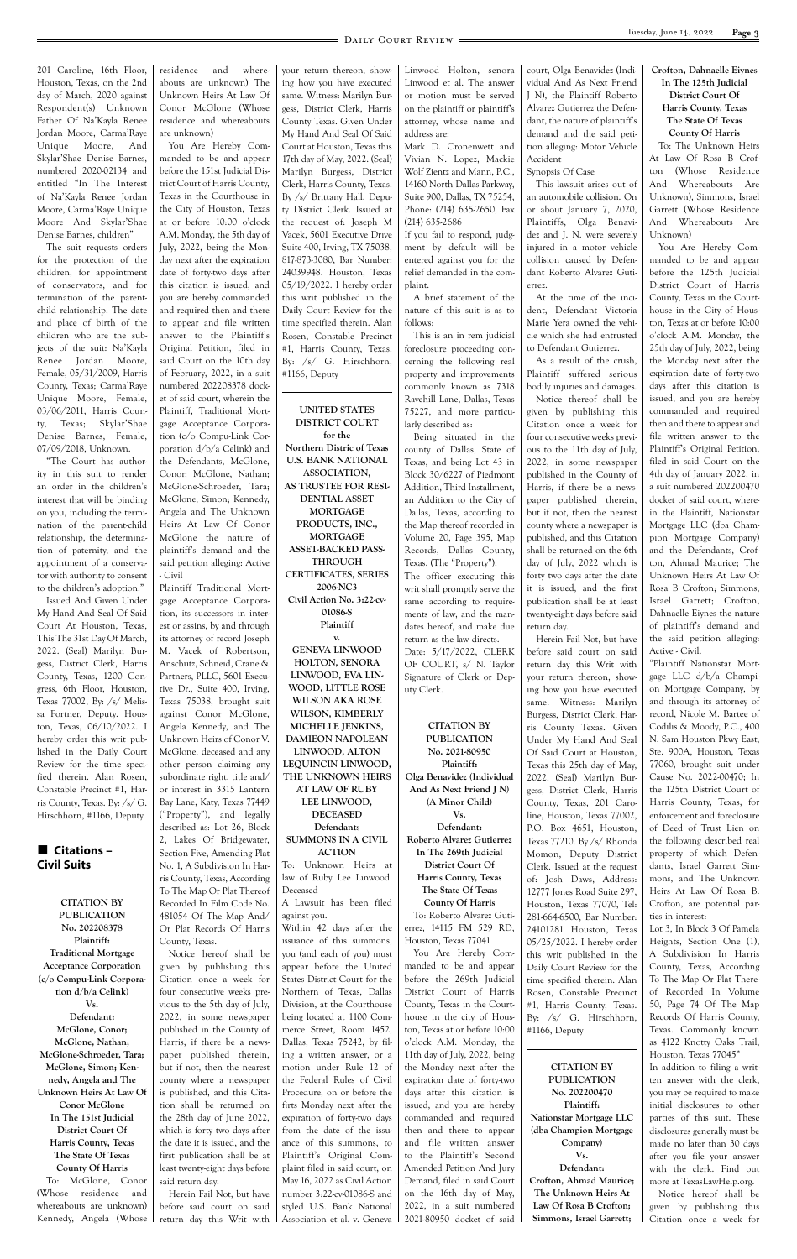#### **Page 3** DAILY COURT REVIEW **Page 1** DAILY COURT REVIEW

201 Caroline, 16th Floor, Houston, Texas, on the 2nd day of March, 2020 against Respondent(s) Unknown Father Of Na'Kayla Renee Jordan Moore, Carma'Raye Unique Moore, And Skylar'Shae Denise Barnes, numbered 2020-02134 and entitled "In The Interest of Na'Kayla Renee Jordan Moore, Carma'Raye Unique Moore And Skylar'Shae Denise Barnes, children"

The suit requests orders for the protection of the children, for appointment of conservators, and for termination of the parentchild relationship. The date and place of birth of the children who are the subjects of the suit: Na'Kayla Renee Jordan Moore, Female, 05/31/2009, Harris County, Texas; Carma'Raye Unique Moore, Female, 03/06/2011, Harris County, Texas; Skylar'Shae Denise Barnes, Female, 07/09/2018, Unknown.

#### ■ Citations – **Civil Suits**

"The Court has authority in this suit to render an order in the children's interest that will be binding on you, including the termination of the parent-child relationship, the determination of paternity, and the appointment of a conservator with authority to consent to the children's adoption."

Issued And Given Under My Hand And Seal Of Said Court At Houston, Texas, This The 31st Day Of March, 2022. (Seal) Marilyn Burgess, District Clerk, Harris County, Texas, 1200 Congress, 6th Floor, Houston, Texas 77002, By: /s/ Melissa Fortner, Deputy. Houston, Texas, 06/10/2022. I hereby order this writ published in the Daily Court Review for the time specified therein. Alan Rosen, Constable Precinct #1, Harris County, Texas. By: /s/ G. Hirschhorn, #1166, Deputy

> **CITATION BY PUBLICATION**

residence and whereabouts are unknown) The Unknown Heirs At Law Of Conor McGlone (Whose residence and whereabouts are unknown)

You Are Hereby Commanded to be and appear before the 151st Judicial District Court of Harris County, Texas in the Courthouse in the City of Houston, Texas at or before 10:00 o'clock A.M. Monday, the 5th day of July, 2022, being the Monday next after the expiration date of forty-two days after this citation is issued, and you are hereby commanded and required then and there to appear and file written answer to the Plaintiff's Original Petition, filed in said Court on the 10th day of February, 2022, in a suit numbered 202208378 docket of said court, wherein the Plaintiff, Traditional Mortgage Acceptance Corporation (c/o Compu-Link Corporation d/b/a Celink) and the Defendants, McGlone, Conor; McGlone, Nathan; McGlone-Schroeder, Tara; McGlone, Simon; Kennedy, Angela and The Unknown Heirs At Law Of Conor McGlone the nature of plaintiff's demand and the said petition alleging: Active - Civil

Plaintiff Traditional Mortgage Acceptance Corporation, its successors in interest or assins, by and through its attorney of record Joseph M. Vacek of Robertson, Anschutz, Schneid, Crane & Partners, PLLC, 5601 Executive Dr., Suite 400, Irving, Texas 75038, brought suit against Conor McGlone, Angela Kennedy, and The Unknown Heirs of Conor V. McGlone, deceased and any other person claiming any subordinate right, title and/ or interest in 3315 Lantern Bay Lane, Katy, Texas 77449 ("Property"), and legally described as: Lot 26, Block 2, Lakes Of Bridgewater, Section Five, Amending Plat No. 1, A Subdivision In Harris County, Texas, According To The Map Or Plat Thereof Recorded In Film Code No. 481054 Of The Map And/

your return thereon, showing how you have executed same. Witness: Marilyn Burgess, District Clerk, Harris County Texas. Given Under My Hand And Seal Of Said Court at Houston, Texas this 17th day of May, 2022. (Seal) Marilyn Burgess, District Clerk, Harris County, Texas. By /s/ Brittany Hall, Deputy District Clerk. Issued at the request of: Joseph M Vacek, 5601 Executive Drive Suite 400, Irving, TX 75038, 817-873-3080, Bar Number: 24039948. Houston, Texas 05/19/2022. I hereby order this writ published in the Daily Court Review for the time specified therein. Alan Rosen, Constable Precinct #1, Harris County, Texas. By: /s/ G. Hirschhorn, #1166, Deputy

#### **UNITED STATES DISTRICT COURT**

**for the Northern Distric of Texas U.S. BANK NATIONAL ASSOCIATION, AS TRUSTEE FOR RESI-DENTIAL ASSET MORTGAGE PRODUCTS, INC., MORTGAGE ASSET-BACKED PASS-THROUGH CERTIFICATES, SERIES 2006-NC3 Civil Action No. 3:22-cv-01086-S Plaintiff**

**v. GENEVA LINWOOD HOLTON, SENORA LINWOOD, EVA LIN-WOOD, LITTLE ROSE WILSON AKA ROSE WILSON, KIMBERLY MICHELLE JENKINS, DAMIEON NAPOLEAN LINWOOD, ALTON LEQUINCIN LINWOOD, THE UNKNOWN HEIRS AT LAW OF RUBY LEE LINWOOD, DECEASED Defendants SUMMONS IN A CIVIL ACTION** To: Unknown Heirs at law of Ruby Lee Linwood. Deceased A Lawsuit has been filed

against you.

Linwood Holton, senora Linwood et al. The answer or motion must be served on the plaintiff or plaintiff's attorney, whose name and address are:

Mark D. Cronenwett and Vivian N. Lopez, Mackie Wolf Zientz and Mann, P.C., 14160 North Dallas Parkway, Suite 900, Dallas, TX 75254, Phone: (214) 635-2650, Fax (214) 635-2686

If you fail to respond, judgment by default will be entered against you for the relief demanded in the complaint.

A brief statement of the nature of this suit is as to follows:

This is an in rem judicial foreclosure proceeding concerning the following real property and improvements commonly known as 7318 Ravehill Lane, Dallas, Texas 75227, and more particularly described as:

| No. 202208378                 | Or Plat Records Of Harris      | Within 42 days after the       | errez, 14115 FM 529 RD,       | 24101281 Houston, Texas      | Lot 3, In Block 3 Of Pamela   |
|-------------------------------|--------------------------------|--------------------------------|-------------------------------|------------------------------|-------------------------------|
| Plaintiff:                    | County, Texas.                 | issuance of this summons,      | Houston, Texas 77041          | 05/25/2022. I hereby order   | Heights, Section One (1),     |
| <b>Traditional Mortgage</b>   | Notice hereof shall be         | you (and each of you) must     | You Are Hereby Com-           | this writ published in the   | A Subdivision In Harris       |
| <b>Acceptance Corporation</b> | given by publishing this       | appear before the United       | manded to be and appear       | Daily Court Review for the   | County, Texas, According      |
| (c/o Compu-Link Corpora-      | Citation once a week for       | States District Court for the  | before the 269th Judicial     | time specified therein. Alan | To The Map Or Plat There-     |
| tion $d/b/a$ Celink)          | four consecutive weeks pre-    | Northern of Texas, Dallas      | District Court of Harris      | Rosen, Constable Precinct    | of Recorded In Volume         |
| $V_{s.}$                      | vious to the 5th day of July,  | Division, at the Courthouse    | County, Texas in the Court-   | #1, Harris County, Texas.    | 50, Page 74 Of The Map        |
| Defendant:                    | 2022, in some newspaper        | being located at 1100 Com-     | house in the city of Hous-    | By: /s/ G. Hirschhorn,       | Records Of Harris County,     |
| McGlone, Conor;               | published in the County of     | merce Street, Room 1452,       | ton, Texas at or before 10:00 | $#1166$ , Deputy             | Texas. Commonly known         |
| McGlone, Nathan;              | Harris, if there be a news-    | Dallas, Texas 75242, by fil-   | o'clock A.M. Monday, the      |                              | as 4122 Knotty Oaks Trail,    |
| McGlone-Schroeder, Tara;      | published therein,<br>paper    | ing a written answer, or a     | 11th day of July, 2022, being |                              | Houston, Texas 77045"         |
| McGlone, Simon; Ken-          | but if not, then the nearest   | motion under Rule 12 of        | the Monday next after the     | <b>CITATION BY</b>           | In addition to filing a writ- |
| nedy, Angela and The          | county where a newspaper       | the Federal Rules of Civil     | expiration date of forty-two  | <b>PUBLICATION</b>           | ten answer with the clerk,    |
| Unknown Heirs At Law Of       | is published, and this Cita-   | Procedure, on or before the    | days after this citation is   | No. 202200470                | you may be required to make   |
| Conor McGlone                 | tion shall be returned on      | firts Monday next after the    | issued, and you are hereby    | Plaintiff:                   | initial disclosures to other  |
| In The 151st Judicial         | the 28th day of June 2022,     | expiration of forty-two days   | commanded and required        | Nationstar Mortgage LLC      | parties of this suit. These   |
| District Court Of             | which is forty two days after  | from the date of the issu-     | then and there to appear      | (dba Champion Mortgage       | disclosures generally must be |
| Harris County, Texas          | the date it is issued, and the | ance of this summons, to       | and file written answer       | Company)                     | made no later than 30 days    |
| The State Of Texas            | first publication shall be at  | Plaintiff's Original Com-      | to the Plaintiff's Second     | $V_{s.}$                     | after you file your answer    |
| County Of Harris              | least twenty-eight days before | plaint filed in said court, on | Amended Petition And Jury     | Defendant:                   | with the clerk. Find out      |
| To: McGlone, Conor            | said return day.               | May 16, 2022 as Civil Action   | Demand, filed in said Court   | Crofton, Ahmad Maurice;      | more at TexasLawHelp.org.     |
| residence<br>(Whose)<br>and   | Herein Fail Not, but have      | number 3:22-cv-01086-S and     | on the 16th day of May,       | The Unknown Heirs At         | Notice hereof shall be        |
| whereabouts are unknown)      | before said court on said      | styled U.S. Bank National      | 2022, in a suit numbered      | Law Of Rosa B Crofton;       | given by publishing this      |
| Kennedy, Angela (Whose        | return day this Writ with I    | Association et al. v. Geneva   | 2021-80950 docket of said     | Simmons, Israel Garrett;     | Citation once a week for      |
|                               |                                |                                |                               |                              |                               |

Being situated in the county of Dallas, State of Texas, and being Lot 43 in Block 30/6227 of Piedmont Addition, Third Installment, an Addition to the City of Dallas, Texas, according to the Map thereof recorded in Volume 20, Page 395, Map Records, Dallas County, Texas. (The "Property"). The officer executing this writ shall promptly serve the same according to requirements of law, and the mandates hereof, and make due return as the law directs. Date: 5/17/2022, CLERK OF COURT, s/ N. Taylor Signature of Clerk or Deputy Clerk.

**CITATION BY PUBLICATION No. 2021-80950 Plaintiff: Olga Benavidez (Individual And As Next Friend J N) (A Minor Child) Vs. Defendant: Roberto Alvarez Gutierrez In The 269th Judicial District Court Of Harris County, Texas The State Of Texas County Of Harris** To: Roberto Alvarez Guti-

court, Olga Benavidez (Individual And As Next Friend J N), the Plaintiff Roberto Alvarez Gutierrez the Defendant, the nature of plaintiff's demand and the said petition alleging: Motor Vehicle Accident

Synopsis Of Case

This lawsuit arises out of an automobile collision. On or about January 7, 2020, Plaintiffs, Olga Benavidez and J. N. were severely injured in a motor vehicle collision caused by Defendant Roberto Alvarez Gutierrez.

At the time of the incident, Defendant Victoria Marie Yera owned the vehicle which she had entrusted to Defendant Gutierrez.

As a result of the crush, Plaintiff suffered serious bodily injuries and damages.

Notice thereof shall be given by publishing this Citation once a week for four consecutive weeks previous to the 11th day of July, 2022, in some newspaper published in the County of Harris, if there be a newspaper published therein, but if not, then the nearest county where a newspaper is published, and this Citation shall be returned on the 6th day of July, 2022 which is forty two days after the date it is issued, and the first publication shall be at least twenty-eight days before said return day.

Herein Fail Not, but have before said court on said return day this Writ with your return thereon, showing how you have executed same. Witness: Marilyn Burgess, District Clerk, Harris County Texas. Given Under My Hand And Seal Of Said Court at Houston, Texas this 25th day of May, 2022. (Seal) Marilyn Burgess, District Clerk, Harris County, Texas, 201 Caroline, Houston, Texas 77002, P.O. Box 4651, Houston, Texas 77210. By /s/ Rhonda Momon, Deputy District Clerk. Issued at the request of: Josh Daws, Address: 12777 Jones Road Suite 297, Houston, Texas 77070, Tel: 281-664-6500, Bar Number: **Crofton, Dahnaelle Eiynes In The 125th Judicial District Court Of Harris County, Texas The State Of Texas County Of Harris**

To: The Unknown Heirs At Law Of Rosa B Crofton (Whose Residence And Whereabouts Are Unknown), Simmons, Israel Garrett (Whose Residence And Whereabouts Are Unknown)

You Are Hereby Commanded to be and appear before the 125th Judicial District Court of Harris County, Texas in the Courthouse in the City of Houston, Texas at or before 10:00 o'clock A.M. Monday, the 25th day of July, 2022, being the Monday next after the expiration date of forty-two days after this citation is issued, and you are hereby commanded and required then and there to appear and file written answer to the Plaintiff's Original Petition, filed in said Court on the 4th day of January 2022, in a suit numbered 202200470 docket of said court, wherein the Plaintiff, Nationstar Mortgage LLC (dba Champion Mortgage Company) and the Defendants, Crofton, Ahmad Maurice; The Unknown Heirs At Law Of Rosa B Crofton; Simmons, Israel Garrett; Crofton, Dahnaelle Eiynes the nature of plaintiff's demand and the said petition alleging: Active - Civil.

"Plaintiff Nationstar Mortgage LLC d/b/a Champion Mortgage Company, by and through its attorney of record, Nicole M. Bartee of Codilis & Moody, P.C., 400 N. Sam Houston Pkwy East, Ste. 900A, Houston, Texas 77060, brought suit under Cause No. 2022-00470; In the 125th District Court of Harris County, Texas, for enforcement and foreclosure of Deed of Trust Lien on the following described real property of which Defendants, Israel Garrett Simmons, and The Unknown Heirs At Law Of Rosa B. Crofton, are potential parties in interest: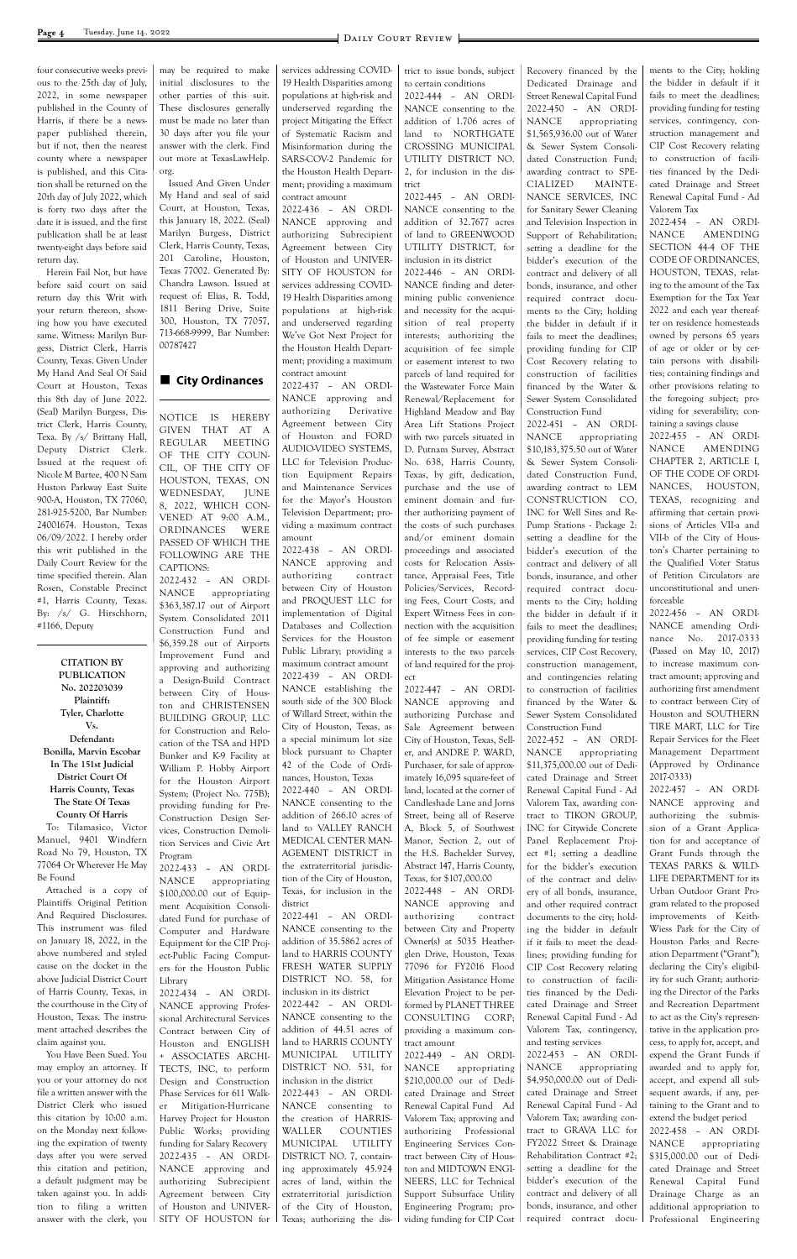four consecutive weeks previous to the 25th day of July, 2022, in some newspaper published in the County of Harris, if there be a newspaper published therein, but if not, then the nearest county where a newspaper is published, and this Citation shall be returned on the 20th day of July 2022, which is forty two days after the date it is issued, and the first publication shall be at least twenty-eight days before said return day.

Herein Fail Not, but have before said court on said return day this Writ with your return thereon, showing how you have executed same. Witness: Marilyn Burgess, District Clerk, Harris County, Texas. Given Under My Hand And Seal Of Said Court at Houston, Texas this 8th day of June 2022. (Seal) Marilyn Burgess, District Clerk, Harris County, Texa. By /s/ Brittany Hall, Deputy District Clerk. Issued at the request of: Nicole M Bartee, 400 N Sam Huston Parkway East Suite 900-A, Houston, TX 77060, 281-925-5200, Bar Number: 24001674. Houston, Texas 06/09/2022. I hereby order this writ published in the Daily Court Review for the time specified therein. Alan Rosen, Constable Precinct #1, Harris County, Texas. By: /s/ G. Hirschhorn, #1166, Deputy

**CITATION BY PUBLICATION No. 202203039 Plaintiff: Tyler, Charlotte Vs. Defendant: Bonilla, Marvin Escobar In The 151st Judicial District Court Of Harris County, Texas The State Of Texas County Of Harris** To: Tilamasico, Victor

Manuel, 9401 Windfern Road No 79, Houston, TX 77064 Or Wherever He May Be Found

Attached is a copy of Plaintiffs Original Petition And Required Disclosures. This instrument was filed on January 18, 2022, in the above numbered and styled cause on the docket in the above Judicial District Court of Harris County, Texas, in the courthouse in the City of Houston, Texas. The instrument attached describes the claim against you. You Have Been Sued. You may employ an attorney. If you or your attorney do not file a written answer with the District Clerk who issued this citation by 10:00 a.m. on the Monday next following the expiration of twenty days after you were served this citation and petition, a default judgment may be taken against you. In addition to filing a written answer with the clerk, you

may be required to make initial disclosures to the other parties of this suit. These disclosures generally must be made no later than 30 days after you file your answer with the clerk. Find out more at TexasLawHelp. org.

Issued And Given Under My Hand and seal of said Court, at Houston, Texas, this January 18, 2022. (Seal) Marilyn Burgess, District Clerk, Harris County, Texas, 201 Caroline, Houston, Texas 77002. Generated By: Chandra Lawson. Issued at request of: Elias, R. Todd, 1811 Bering Drive, Suite 300, Houston, TX 77057, 713-668-9999, Bar Number: 00787427

#### ■ City Ordinances

NOTICE IS HEREBY GIVEN THAT AT A REGULAR MEETING OF THE CITY COUN-CIL, OF THE CITY OF HOUSTON, TEXAS, ON WEDNESDAY, JUNE 8, 2022, WHICH CON-VENED AT 9:00 A.M., ORDINANCES WERE PASSED OF WHICH THE FOLLOWING ARE THE CAPTIONS:

2022-432 – AN ORDI-NANCE appropriating \$363,387.17 out of Airport System Consolidated 2011 Construction Fund and \$6,359.28 out of Airports Improvement Fund and approving and authorizing a Design-Build Contract between City of Houston and CHRISTENSEN BUILDING GROUP, LLC for Construction and Relocation of the TSA and HPD Bunker and K-9 Facility at William P. Hobby Airport for the Houston Airport System; (Project No. 775B); providing funding for Pre-Construction Design Services, Construction Demolition Services and Civic Art Program

2022-433 – AN ORDI-NANCE appropriating \$100,000.00 out of Equipment Acquisition Consolidated Fund for purchase of

Computer and Hardware Equipment for the CIP Project-Public Facing Computers for the Houston Public Library 2022-434 – AN ORDI-NANCE approving Professional Architectural Services Contract between City of Houston and ENGLISH + ASSOCIATES ARCHI-TECTS, INC, to perform Design and Construction Phase Services for 611 Walker Mitigation-Hurricane Harvey Project for Houston Public Works; providing funding for Salary Recovery 2022-435 – AN ORDI-NANCE approving and authorizing Subrecipient Agreement between City of Houston and UNIVER-SITY OF HOUSTON for

services addressing COVID-19 Health Disparities among populations at high-risk and underserved regarding the project Mitigating the Effect of Systematic Racism and Misinformation during the SARS-COV-2 Pandemic for the Houston Health Department; providing a maximum contract amount

2022-436 – AN ORDI-NANCE approving and authorizing Subrecipient Agreement between City of Houston and UNIVER-SITY OF HOUSTON for services addressing COVID-19 Health Disparities among populations at high-risk and underserved regarding We've Got Next Project for the Houston Health Department; providing a maximum contract amount

2022-437 – AN ORDI-NANCE approving and authorizing Derivative Agreement between City of Houston and FORD AUDIO-VIDEO SYSTEMS, LLC for Television Production Equipment Repairs and Maintenance Services for the Mayor's Houston Television Department; providing a maximum contract amount

2022-438 – AN ORDI-NANCE approving and authorizing contract between City of Houston and PROQUEST LLC for implementation of Digital Databases and Collection Services for the Houston Public Library; providing a maximum contract amount 2022-439 – AN ORDI-NANCE establishing the south side of the 300 Block of Willard Street, within the City of Houston, Texas, as a special minimum lot size block pursuant to Chapter 42 of the Code of Ordinances, Houston, Texas 2022-440 – AN ORDI-NANCE consenting to the addition of 266.10 acres of land to VALLEY RANCH MEDICAL CENTER MAN-AGEMENT DISTRICT in the extraterritorial jurisdiction of the City of Houston, Texas, for inclusion in the district

2022-441 – AN ORDI-NANCE consenting to the addition of 35.5862 acres of land to HARRIS COUNTY FRESH WATER SUPPLY DISTRICT NO. 58, for inclusion in its district 2022-442 – AN ORDI-NANCE consenting to the addition of 44.51 acres of land to HARRIS COUNTY MUNICIPAL UTILITY DISTRICT NO. 531, for inclusion in the district 2022-443 – AN ORDI-NANCE consenting to the creation of HARRIS-WALLER COUNTIES MUNICIPAL UTILITY DISTRICT NO. 7, containing approximately 45.924 acres of land, within the extraterritorial jurisdiction of the City of Houston, Texas; authorizing the dis-

trict to issue bonds, subject to certain conditions

2022-444 – AN ORDI-NANCE consenting to the addition of 1.706 acres of land to NORTHGATE CROSSING MUNICIPAL UTILITY DISTRICT NO. 2, for inclusion in the district

2022-445 – AN ORDI-NANCE consenting to the addition of 32.7677 acres of land to GREENWOOD UTILITY DISTRICT, for inclusion in its district

2022-446 – AN ORDI-NANCE finding and determining public convenience and necessity for the acquisition of real property interests; authorizing the acquisition of fee simple or easement interest to two parcels of land required for the Wastewater Force Main Renewal/Replacement for Highland Meadow and Bay Area Lift Stations Project with two parcels situated in D. Putnam Survey, Abstract No. 638, Harris County, Texas, by gift, dedication, purchase and the use of eminent domain and further authorizing payment of the costs of such purchases and/or eminent domain proceedings and associated costs for Relocation Assistance, Appraisal Fees, Title Policies/Services, Recording Fees, Court Costs, and Expert Witness Fees in connection with the acquisition of fee simple or easement interests to the two parcels of land required for the proj-

ect 2022-447 – AN ORDI-NANCE approving and authorizing Purchase and Sale Agreement between City of Houston, Texas, Seller, and ANDRE P. WARD, Purchaser, for sale of approximately 16,095 square-feet of land, located at the corner of Candleshade Lane and Jorns Street, being all of Reserve A, Block 5, of Southwest Manor, Section 2, out of the H.S. Bachelder Survey, Abstract 147, Harris County, Texas, for \$107,000.00 2022-448 – AN ORDI-NANCE approving and authorizing contract between City and Property Owner(s) at 5035 Heatherglen Drive, Houston, Texas 77096 for FY2016 Flood Mitigation Assistance Home Elevation Project to be performed by PLANET THREE CONSULTING CORP; providing a maximum contract amount 2022-449 – AN ORDI-NANCE appropriating \$210,000.00 out of Dedicated Drainage and Street Renewal Capital Fund Ad Valorem Tax; approving and authorizing Professional Engineering Services Contract between City of Houston and MIDTOWN ENGI-NEERS, LLC for Technical Support Subsurface Utility Engineering Program; providing funding for CIP Cost

Recovery financed by the Dedicated Drainage and Street Renewal Capital Fund 2022-450 – AN ORDI-NANCE appropriating \$1,565,936.00 out of Water & Sewer System Consolidated Construction Fund; awarding contract to SPE-CIALIZED MAINTE-NANCE SERVICES, INC for Sanitary Sewer Cleaning and Television Inspection in Support of Rehabilitation; setting a deadline for the bidder's execution of the contract and delivery of all bonds, insurance, and other required contract documents to the City; holding the bidder in default if it fails to meet the deadlines; providing funding for CIP Cost Recovery relating to construction of facilities financed by the Water & Sewer System Consolidated Construction Fund

2022-451 – AN ORDI-NANCE appropriating \$10,183,375.50 out of Water & Sewer System Consolidated Construction Fund, awarding contract to LEM CONSTRUCTION CO, INC for Well Sites and Re-Pump Stations - Package 2: setting a deadline for the bidder's execution of the contract and delivery of all bonds, insurance, and other required contract documents to the City; holding the bidder in default if it fails to meet the deadlines; providing funding for testing services, CIP Cost Recovery, construction management, and contingencies relating to construction of facilities financed by the Water & Sewer System Consolidated Construction Fund

2022-452 – AN ORDI-NANCE appropriating \$11,375,000.00 out of Dedicated Drainage and Street Renewal Capital Fund - Ad Valorem Tax, awarding contract to TIKON GROUP, INC for Citywide Concrete Panel Replacement Project #1; setting a deadline for the bidder's execution of the contract and delivery of all bonds, insurance, and other required contract documents to the city; holding the bidder in default if it fails to meet the deadlines; providing funding for CIP Cost Recovery relating to construction of facilities financed by the Dedicated Drainage and Street Renewal Capital Fund - Ad Valorem Tax, contingency, and testing services 2022-453 – AN ORDI-NANCE appropriating \$4,950,000.00 out of Dedicated Drainage and Street Renewal Capital Fund - Ad Valorem Tax; awarding contract to GRAVA LLC for FY2022 Street & Drainage Rehabilitation Contract #2; setting a deadline for the bidder's execution of the contract and delivery of all bonds, insurance, and other required contract docu-

ments to the City; holding the bidder in default if it fails to meet the deadlines; providing funding for testing services, contingency, construction management and CIP Cost Recovery relating to construction of facilities financed by the Dedicated Drainage and Street Renewal Capital Fund - Ad Valorem Tax

2022-454 – AN ORDI-NANCE AMENDING SECTION 44-4 OF THE CODE OF ORDINANCES, HOUSTON, TEXAS, relating to the amount of the Tax Exemption for the Tax Year 2022 and each year thereafter on residence homesteads owned by persons 65 years of age or older or by certain persons with disabilities; containing findings and other provisions relating to the foregoing subject; providing for severability; containing a savings clause

2022-455 – AN ORDI-NANCE AMENDING CHAPTER 2, ARTICLE I, OF THE CODE OF ORDI-NANCES, HOUSTON, TEXAS, recognizing and affirming that certain provisions of Articles VII-a and VII-b of the City of Houston's Charter pertaining to the Qualified Voter Status of Petition Circulators are unconstitutional and unenforceable

2022-456 – AN ORDI-NANCE amending Ordinance No. 2017-0333 (Passed on May 10, 2017) to increase maximum contract amount; approving and authorizing first amendment to contract between City of Houston and SOUTHERN TIRE MART, LLC for Tire Repair Services for the Fleet Management Department (Approved by Ordinance 2017-0333)

2022-457 – AN ORDI-NANCE approving and authorizing the submission of a Grant Application for and acceptance of Grant Funds through the TEXAS PARKS & WILD-LIFE DEPARTMENT for its Urban Outdoor Grant Program related to the proposed improvements of Keith-Wiess Park for the City of Houston Parks and Recreation Department ("Grant"); declaring the City's eligibility for such Grant; authorizing the Director of the Parks and Recreation Department to act as the City's representative in the application process, to apply for, accept, and expend the Grant Funds if awarded and to apply for, accept, and expend all subsequent awards, if any, pertaining to the Grant and to extend the budget period 2022-458 – AN ORDI-NANCE appropriating \$315,000.00 out of Dedicated Drainage and Street Renewal Capital Fund Drainage Charge as an additional appropriation to Professional Engineering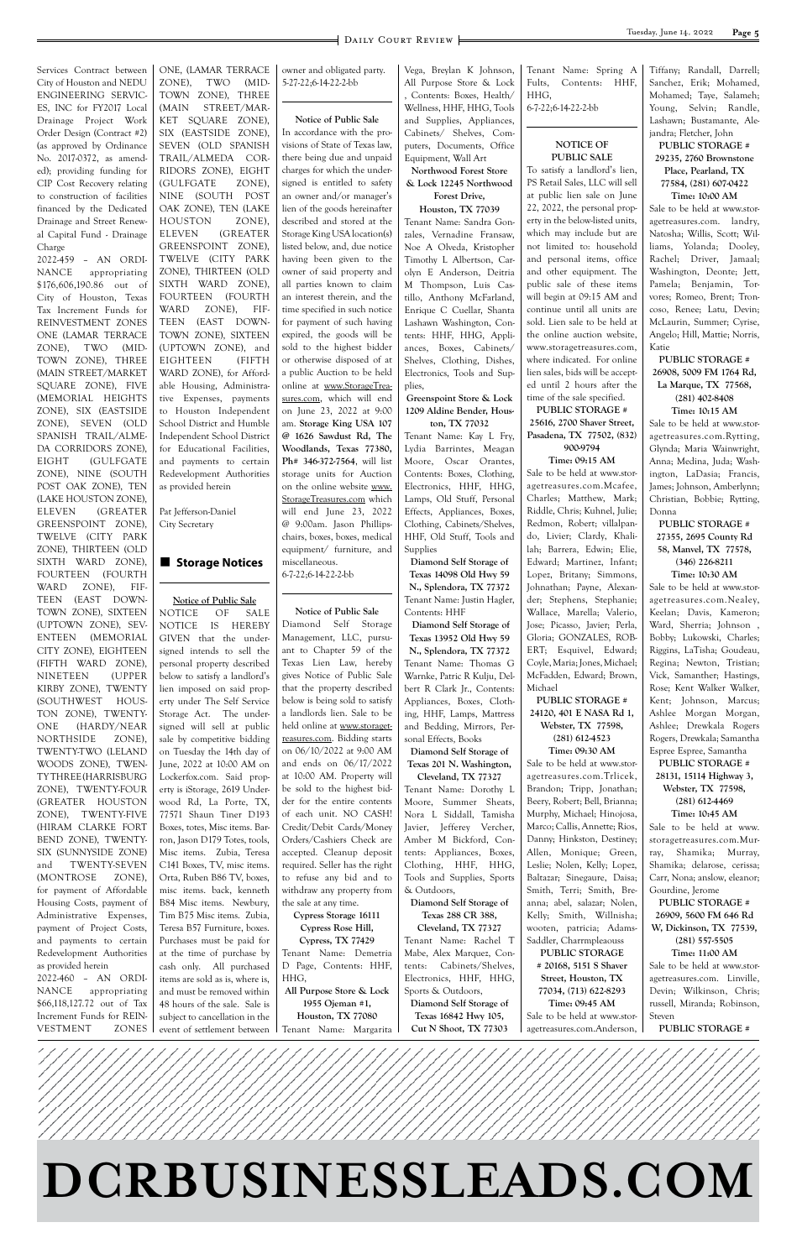#### **Page 5** DAILY COURT REVIEW



Services Contract between City of Houston and NEDU ENGINEERING SERVIC-ES, INC for FY2017 Local Drainage Project Work Order Design (Contract #2) (as approved by Ordinance No. 2017-0372, as amended); providing funding for CIP Cost Recovery relating to construction of facilities financed by the Dedicated Drainage and Street Renewal Capital Fund - Drainage Charge

2022-459 – AN ORDI-NANCE appropriating \$176,606,190.86 out of City of Houston, Texas Tax Increment Funds for REINVESTMENT ZONES ONE (LAMAR TERRACE ZONE), TWO (MID-TOWN ZONE), THREE (MAIN STREET/MARKET SQUARE ZONE), FIVE (MEMORIAL HEIGHTS ZONE), SIX (EASTSIDE ZONE), SEVEN (OLD SPANISH TRAIL/ALME-DA CORRIDORS ZONE), EIGHT (GULFGATE ZONE), NINE (SOUTH POST OAK ZONE), TEN (LAKE HOUSTON ZONE), ELEVEN (GREATER GREENSPOINT ZONE), TWELVE (CITY PARK ZONE), THIRTEEN (OLD SIXTH WARD ZONE), FOURTEEN (FOURTH WARD ZONE), FIF-TEEN (EAST DOWN-TOWN ZONE), SIXTEEN (UPTOWN ZONE), SEV-ENTEEN (MEMORIAL CITY ZONE), EIGHTEEN (FIFTH WARD ZONE), NINETEEN (UPPER KIRBY ZONE), TWENTY (SOUTHWEST HOUS-TON ZONE), TWENTY-ONE (HARDY/NEAR NORTHSIDE ZONE), TWENTY-TWO (LELAND WOODS ZONE), TWEN-TY THREE (HARRISBURG ZONE), TWENTY-FOUR (GREATER HOUSTON ZONE), TWENTY-FIVE (HIRAM CLARKE FORT BEND ZONE), TWENTY-SIX (SUNNYSIDE ZONE) and TWENTY-SEVEN (MONTROSE ZONE), for payment of Affordable Housing Costs, payment of Administrative Expenses, payment of Project Costs, ONE, (LAMAR TERRACE ZONE), TWO (MID-TOWN ZONE), THREE (MAIN STREET/MAR-KET SQUARE ZONE), SIX (EASTSIDE ZONE), SEVEN (OLD SPANISH TRAIL/ALMEDA COR-RIDORS ZONE), EIGHT (GULFGATE ZONE), NINE (SOUTH POST OAK ZONE), TEN (LAKE HOUSTON ZONE), ELEVEN (GREATER GREENSPOINT ZONE), TWELVE (CITY PARK ZONE), THIRTEEN (OLD SIXTH WARD ZONE), FOURTEEN (FOURTH WARD ZONE), FIF-TEEN (EAST DOWN-TOWN ZONE), SIXTEEN (UPTOWN ZONE), and EIGHTEEN (FIFTH WARD ZONE), for Affordable Housing, Administrative Expenses, payments to Houston Independent School District and Humble Independent School District for Educational Facilities, and payments to certain Redevelopment Authorities as provided herein

Pat Jefferson-Daniel City Secretary

#### ■ Storage Notices

**Notice of Public Sale**

NOTICE OF SALE NOTICE IS HEREBY GIVEN that the undersigned intends to sell the personal property described below to satisfy a landlord's lien imposed on said property under The Self Service Storage Act. The undersigned will sell at public sale by competitive bidding on Tuesday the 14th day of June, 2022 at 10:00 AM on Lockerfox.com. Said property is iStorage, 2619 Underwood Rd, La Porte, TX, 77571 Shaun Tiner D193 Boxes, totes, Misc items. Barron, Jason D179 Totes, tools, Misc items. Zubia, Teresa C141 Boxes, TV, misc items. Orta, Ruben B86 TV, boxes, misc items. back, kenneth B84 Misc items. Newbury, Tim B75 Misc items. Zubia,

owner and obligated party. 5-27-22;6-14-22-2-bb

**Notice of Public Sale** In accordance with the provisions of State of Texas law, there being due and unpaid charges for which the undersigned is entitled to safety an owner and/or manager's lien of the goods hereinafter described and stored at the Storage King USA location(s) listed below, and, due notice having been given to the owner of said property and all parties known to claim an interest therein, and the time specified in such notice for payment of such having expired, the goods will be sold to the highest bidder or otherwise disposed of at a public Auction to be held online at www.StorageTreasures.com, which will end on June 23, 2022 at 9:00 am. **Storage King USA 107 @ 1626 Sawdust Rd, The Woodlands, Texas 77380, Ph# 346-372-7564**, will list storage units for Auction on the online website www. StorageTreasures.com which will end June 23, 2022 @ 9:00am. Jason Phillipschairs, boxes, boxes, medical equipment/ furniture, and miscellaneous. 6-7-22;6-14-22-2-bb

**Notice of Public Sale** Diamond Self Storage Management, LLC, pursuant to Chapter 59 of the Texas Lien Law, hereby gives Notice of Public Sale that the property described below is being sold to satisfy a landlords lien. Sale to be held online at www.storagetreasures.com. Bidding starts on 06/10/2022 at 9:00 AM and ends on 06/17/2022 at 10:00 AM. Property will be sold to the highest bidder for the entire contents of each unit. NO CASH! Credit/Debit Cards/Money Orders/Cashiers Check are accepted. Cleanup deposit required. Seller has the right to refuse any bid and to withdraw any property from the sale at any time.

**Cypress Storage 16111**

Vega, Breylan K Johnson, All Purpose Store & Lock , Contents: Boxes, Health/ Wellness, HHF, HHG, Tools and Supplies, Appliances, Cabinets/ Shelves, Computers, Documents, Office Equipment, Wall Art

**Northwood Forest Store & Lock 12245 Northwood Forest Drive,**

**Houston, TX 77039** Tenant Name: Sandra Gonzales, Vernadine Fransaw, Noe A Olveda, Kristopher Timothy L Albertson, Carolyn E Anderson, Deitria M Thompson, Luis Castillo, Anthony McFarland, Enrique C Cuellar, Shanta Lashawn Washington, Contents: HHF, HHG, Appliances, Boxes, Cabinets/ Shelves, Clothing, Dishes, Electronics, Tools and Supplies,

**Greenspoint Store & Lock 1209 Aldine Bender, Houston, TX 77032**

Tenant Name: Kay L Fry, Lydia Barrintes, Meagan Moore, Oscar Orantes, Contents: Boxes, Clothing, Electronics, HHF, HHG, Lamps, Old Stuff, Personal Effects, Appliances, Boxes, Clothing, Cabinets/Shelves, HHF, Old Stuff, Tools and Supplies

| Cypress Rose Hill,       | Cleveland, TX 77327                                                                                                                                                                                                                                                                                                                                                                       | wooten, patricia; Adams-     | W, Dickinson, TX 77539,        |
|--------------------------|-------------------------------------------------------------------------------------------------------------------------------------------------------------------------------------------------------------------------------------------------------------------------------------------------------------------------------------------------------------------------------------------|------------------------------|--------------------------------|
| Cypress, TX 77429        | Tenant Name: Rachel T                                                                                                                                                                                                                                                                                                                                                                     | Saddler, Charrmpleaouss      | $(281)$ 557-5505               |
| Tenant Name: Demetria    | Mabe, Alex Marquez, Con-                                                                                                                                                                                                                                                                                                                                                                  | <b>PUBLIC STORAGE</b>        | Time: 11:00 AM                 |
| D Page, Contents: HHF,   | Cabinets/Shelves,<br>tents:                                                                                                                                                                                                                                                                                                                                                               | # 20168, 5151 S Shaver       | Sale to be held at www.stor-   |
| HHG.                     | Electronics, HHF, HHG,                                                                                                                                                                                                                                                                                                                                                                    | Street, Houston, TX          | Linville,<br>agetreasures.com. |
| All Purpose Store & Lock | Sports & Outdoors,                                                                                                                                                                                                                                                                                                                                                                        | 77034, (713) 622-8293        | Devin; Wilkinson, Chris;       |
| 1955 Ojeman #1,          | Diamond Self Storage of                                                                                                                                                                                                                                                                                                                                                                   | Time: 09:45 AM               | russell, Miranda; Robinson,    |
| Houston, TX 77080        | Texas 16842 Hwy 105,                                                                                                                                                                                                                                                                                                                                                                      | Sale to be held at www.stor- | Steven                         |
| Tenant Name: Margarita   | Cut N Shoot, TX 77303                                                                                                                                                                                                                                                                                                                                                                     | agetreasures.com.Anderson,   | <b>PUBLIC STORAGE #</b>        |
|                          | payment of Project Costs,   Teresa B57 Furniture, boxes.<br>Purchases must be paid for<br>at the time of purchase by<br>cash only. All purchased<br>items are sold as is, where is,<br>appropriating $\parallel$ and must be removed within $\parallel$<br>$$66,118,127.72$ out of Tax   48 hours of the sale. Sale is  <br>subject to cancellation in the<br>event of settlement between |                              |                                |

**Diamond Self Storage of Texas 14098 Old Hwy 59 N., Splendora, TX 77372** Tenant Name: Justin Hagler, Contents: HHF

 **Diamond Self Storage of Texas 13952 Old Hwy 59 N., Splendora, TX 77372** Tenant Name: Thomas G Warnke, Patric R Kulju, Delbert R Clark Jr., Contents: Appliances, Boxes, Clothing, HHF, Lamps, Mattress and Bedding, Mirrors, Personal Effects, Books

**Diamond Self Storage of Texas 201 N. Washington, Cleveland, TX 77327**

Tenant Name: Dorothy L Moore, Summer Sheats, Nora L Siddall, Tamisha Javier, Jefferey Vercher, Amber M Bickford, Contents: Appliances, Boxes, Clothing, HHF, HHG, Tools and Supplies, Sports & Outdoors,

**Diamond Self Storage of Texas 288 CR 388,**

Tenant Name: Spring A Fults, Contents: HHF, HHG, 6-7-22;6-14-22-2-bb

#### **NOTICE OF PUBLIC SALE**

To satisfy a landlord's lien, PS Retail Sales, LLC will sell at public lien sale on June 22, 2022, the personal property in the below-listed units, which may include but are not limited to: household and personal items, office and other equipment. The public sale of these items will begin at 09:15 AM and continue until all units are sold. Lien sale to be held at the online auction website, www.storagetreasures.com, where indicated. For online lien sales, bids will be accepted until 2 hours after the time of the sale specified.

**PUBLIC STORAGE # 25616, 2700 Shaver Street, Pasadena, TX 77502, (832) 900-9794**

#### **Time: 09:15 AM**

Sale to be held at www.storagetreasures.com.Mcafee, Charles; Matthew, Mark; Riddle, Chris; Kuhnel, Julie; Redmon, Robert; villalpando, Livier; Clardy, Khalilah; Barrera, Edwin; Elie, Edward; Martinez, Infant; Lopez, Britany; Simmons, Johnathan; Payne, Alexander; Stephens, Stephanie; Wallace, Marella; Valerio, Jose; Picasso, Javier; Perla, Gloria; GONZALES, ROB-ERT; Esquivel, Edward; Coyle, Maria; Jones, Michael; McFadden, Edward; Brown, Michael

**PUBLIC STORAGE # 24120, 401 E NASA Rd 1, Webster, TX 77598, (281) 612-4523**

#### **Time: 09:30 AM**

Sale to be held at www.storagetreasures.com.Trlicek, Brandon; Tripp, Jonathan; Beery, Robert; Bell, Brianna; Murphy, Michael; Hinojosa, Marco; Callis, Annette; Rios, Danny; Hinkston, Destiney; Allen, Monique; Green, Leslie; Nolen, Kelly; Lopez, Baltazar; Sinegaure, Daisa; Smith, Terri; Smith, Breanna; abel, salazar; Nolen, Kelly; Smith, Willnisha; Tiffany; Randall, Darrell; Sanchez, Erik; Mohamed, Mohamed; Taye, Salameh; Young, Selvin; Randle, Lashawn; Bustamante, Alejandra; Fletcher, John

#### **PUBLIC STORAGE # 29235, 2760 Brownstone Place, Pearland, TX 77584, (281) 607-0422 Time: 10:00 AM**

Sale to be held at www.storagetreasures.com. landry, Natosha; Willis, Scott; Williams, Yolanda; Dooley, Rachel; Driver, Jamaal; Washington, Deonte; Jett, Pamela; Benjamin, Torvores; Romeo, Brent; Troncoso, Renee; Latu, Devin; McLaurin, Summer; Cyrise, Angelo; Hill, Mattie; Norris, Katie

#### **PUBLIC STORAGE # 26908, 5009 FM 1764 Rd, La Marque, TX 77568, (281) 402-8408 Time: 10:15 AM**

Sale to be held at www.storagetreasures.com.Rytting, Glynda; Maria Wainwright, Anna; Medina, Juda; Washington, LaDasia; Francis, James; Johnson, Amberlynn; Christian, Bobbie; Rytting, Donna

#### **PUBLIC STORAGE # 27355, 2695 County Rd 58, Manvel, TX 77578, (346) 226-8211 Time: 10:30 AM**

Sale to be held at www.storagetreasures.com.Nealey, Keelan; Davis, Kameron; Ward, Sherria; Johnson , Bobby; Lukowski, Charles; Riggins, LaTisha; Goudeau, Regina; Newton, Tristian; Vick, Samanther; Hastings, Rose; Kent Walker Walker, Kent; Johnson, Marcus; Ashlee Morgan Morgan, Ashlee; Drewkala Rogers Rogers, Drewkala; Samantha Espree Espree, Samantha

**PUBLIC STORAGE # 28131, 15114 Highway 3,** 

#### **Webster, TX 77598, (281) 612-4469**

**Time: 10:45 AM** Sale to be held at www. storagetreasures.com.Murray, Shamika; Murray, Shamika; delarose, cerissa; Carr, Nona; anslow, eleanor; Gourdine, Jerome

**PUBLIC STORAGE # 26909, 5600 FM 646 Rd**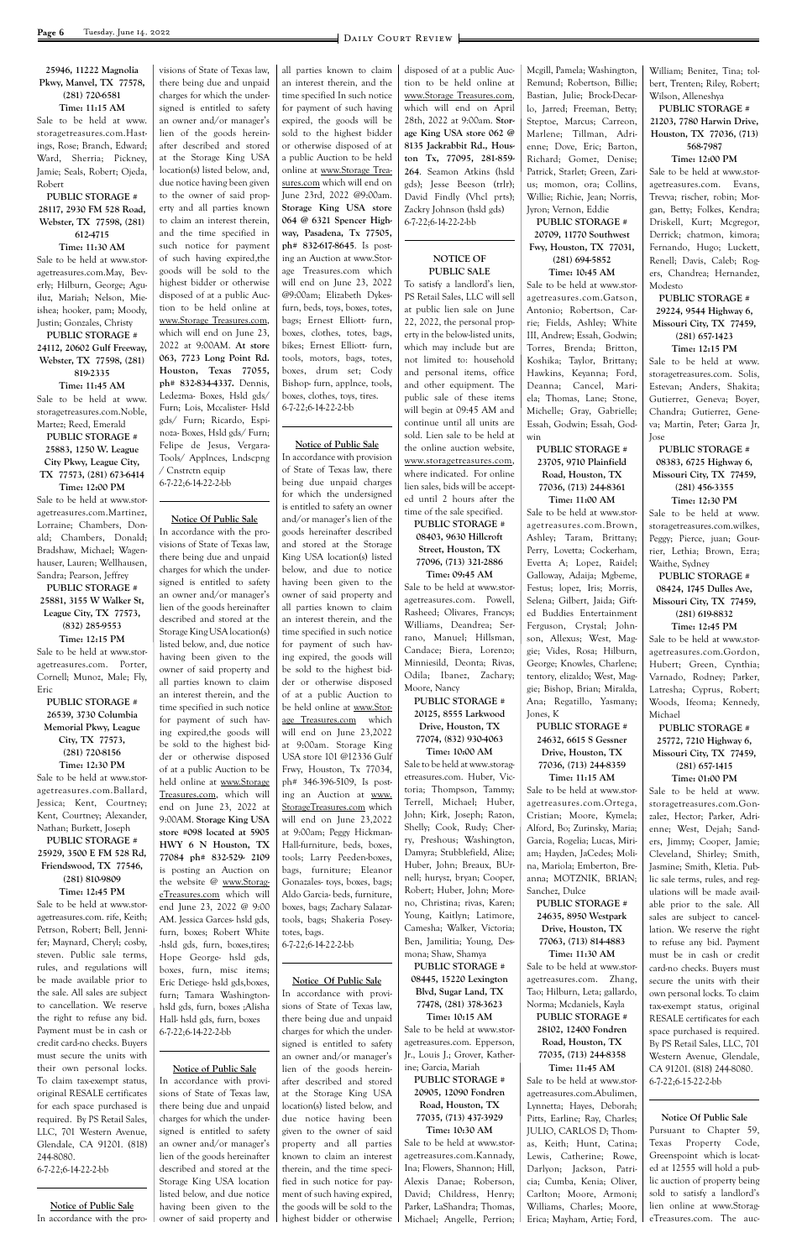#### **25946, 11222 Magnolia Pkwy, Manvel, TX 77578, (281) 720-6581 Time: 11:15 AM**

Sale to be held at www. storagetreasures.com.Hastings, Rose; Branch, Edward; Ward, Sherria; Pickney, Jamie; Seals, Robert; Ojeda, Robert

#### **PUBLIC STORAGE # 28117, 2930 FM 528 Road, Webster, TX 77598, (281) 612-4715**

**Time: 11:30 AM** Sale to be held at www.storagetreasures.com.May, Beverly; Hilburn, George; Aguiluz, Mariah; Nelson, Mieishea; hooker, pam; Moody, Justin; Gonzales, Christy

#### **PUBLIC STORAGE # 24112, 20602 Gulf Freeway, Webster, TX 77598, (281) 819-2335**

**Time: 11:45 AM** Sale to be held at www. storagetreasures.com.Noble, Martez; Reed, Emerald

#### **PUBLIC STORAGE # 25883, 1250 W. League City Pkwy, League City, TX 77573, (281) 673-6414 Time: 12:00 PM**

Sale to be held at www.storagetreasures.com.Martinez, Lorraine; Chambers, Donald; Chambers, Donald; Bradshaw, Michael; Wagenhauser, Lauren; Wellhausen, Sandra; Pearson, Jeffrey

#### **PUBLIC STORAGE # 25881, 3155 W Walker St, League City, TX 77573, (832) 285-9553 Time: 12:15 PM**

Sale to be held at www.storagetreasures.com. Porter, Cornell; Munoz, Male; Fly, Eric

**PUBLIC STORAGE # 26539, 3730 Columbia Memorial Pkwy, League City, TX 77573, (281) 720-8156 Time: 12:30 PM** Sale to be held at www.storagetreasures.com.Ballard, Jessica; Kent, Courtney; Kent, Courtney; Alexander, Nathan; Burkett, Joseph **PUBLIC STORAGE # 25929, 3500 E FM 528 Rd, Friendswood, TX 77546, (281) 810-9809 Time: 12:45 PM** Sale to be held at www.storagetreasures.com. rife, Keith; Petrson, Robert; Bell, Jennifer; Maynard, Cheryl; cosby, steven. Public sale terms, rules, and regulations will be made available prior to the sale. All sales are subject to cancellation. We reserve the right to refuse any bid. Payment must be in cash or credit card-no checks. Buyers must secure the units with their own personal locks. To claim tax-exempt status, original RESALE certificates for each space purchased is required. By PS Retail Sales, LLC, 701 Western Avenue, Glendale, CA 91201. (818) 244-8080. 6-7-22;6-14-22-2-bb

**Notice of Public Sale** In accordance with the provisions of State of Texas law, there being due and unpaid charges for which the undersigned is entitled to safety an owner and/or manager's lien of the goods hereinafter described and stored at the Storage King USA location(s) listed below, and, due notice having been given to the owner of said property and all parties known to claim an interest therein, and the time specified in such notice for payment of such having expired,the goods will be sold to the highest bidder or otherwise disposed of at a public Auction to be held online at www.Storage Treasures.com, which will end on June 23, 2022 at 9:00AM. **At store 063, 7723 Long Point Rd. Houston, Texas 77055, ph# 832-834-4337.** Dennis, Ledezma- Boxes, Hsld gds/ Furn; Lois, Mccalister- Hsld gds/ Furn; Ricardo, Espinoza- Boxes, Hsld gds/ Furn; Felipe de Jesus, Vergara-Tools/ Applnces, Lndscpng / Cnstrctn equip

6-7-22;6-14-22-2-bb

#### **Notice Of Public Sale**

In accordance with the provisions of State of Texas law, there being due and unpaid charges for which the undersigned is entitled to safety an owner and/or manager's lien of the goods hereinafter described and stored at the Storage King USA location(s) listed below, and, due notice having been given to the owner of said property and all parties known to claim an interest therein, and the time specified in such notice for payment of such having expired,the goods will be sold to the highest bidder or otherwise disposed of at a public Auction to be held online at www.Storage Treasures.com, which will end on June 23, 2022 at 9:00AM. **Storage King USA store #098 located at 5905 HWY 6 N Houston, TX 77084 ph# 832-529- 2109** is posting an Auction on the website @ www.StorageTreasures.com which will end June 23, 2022 @ 9:00 AM. Jessica Garces- hsld gds, furn, boxes; Robert White -hsld gds, furn, boxes,tires; Hope George- hsld gds, boxes, furn, misc items; Eric Detiege- hsld gds,boxes, furn; Tamara Washingtonhsld gds, furn, boxes ;Alisha Hall- hsld gds, furn, boxes 6-7-22;6-14-22-2-bb

#### **Notice of Public Sale**

In accordance with provisions of State of Texas law, there being due and unpaid charges for which the undersigned is entitled to safety an owner and/or manager's lien of the goods hereinafter described and stored at the Storage King USA location listed below, and due notice having been given to the owner of said property and

all parties known to claim an interest therein, and the time specified In such notice for payment of such having expired, the goods will be sold to the highest bidder or otherwise disposed of at a public Auction to be held online at www.Storage Treasures.com which will end on June 23rd, 2022 @9:00am. **Storage King USA store 064 @ 6321 Spencer Highway, Pasadena, Tx 77505, ph# 832-617-8645**. Is posting an Auction at www.Storage Treasures.com which will end on June 23, 2022 @9:00am; Elizabeth Dykesfurn, beds, toys, boxes, totes, bags; Ernest Elliott- furn, boxes, clothes, totes, bags, bikes; Ernest Elliott- furn, tools, motors, bags, totes, boxes, drum set; Cody Bishop- furn, applnce, tools, boxes, clothes, toys, tires. 6-7-22;6-14-22-2-bb

#### **Notice of Public Sale**

In accordance with provision of State of Texas law, there being due unpaid charges for which the undersigned is entitled to safety an owner and/or manager's lien of the goods hereinafter described and stored at the Storage King USA location(s) listed below, and due to notice having been given to the owner of said property and all parties known to claim an interest therein, and the time specified in such notice for payment of such having expired, the goods will be sold to the highest bidder or otherwise disposed of at a public Auction to be held online at www.Storage Treasures.com which will end on June 23,2022 at 9:00am. Storage King USA store 101 @12336 Gulf Frwy, Houston, Tx 77034, ph# 346-396-5109, Is posting an Auction at www. StorageTreasures.com which will end on June 23,2022 at 9:00am; Peggy Hickman-Hall-furniture, beds, boxes, tools; Larry Peeden-boxes, bags, furniture; Eleanor Gonazales- toys, boxes, bags; Aldo Garcia- beds, furniture, boxes, bags; Zachary Salazartools, bags; Shakeria Poseytotes, bags. 6-7-22;6-14-22-2-bb

#### **Notice Of Public Sale**

In accordance with provisions of State of Texas law, there being due and unpaid charges for which the undersigned is entitled to safety an owner and/or manager's lien of the goods hereinafter described and stored at the Storage King USA location(s) listed below, and due notice having been given to the owner of said property and all parties known to claim an interest therein, and the time specified in such notice for payment of such having expired, the goods will be sold to the highest bidder or otherwise

disposed of at a public Auction to be held online at www.Storage Treasures.com, which will end on April 28th, 2022 at 9:00am. **Storage King USA store 062 @ 8135 Jackrabbit Rd., Houston Tx, 77095, 281-859- 264**. Seamon Atkins (hsld gds); Jesse Beeson (trlr); David Findly (Vhcl prts); Zackry Johnson (hsld gds) 6-7-22;6-14-22-2-bb

#### **NOTICE OF PUBLIC SALE**

To satisfy a landlord's lien, PS Retail Sales, LLC will sell at public lien sale on June 22, 2022, the personal property in the below-listed units, which may include but are not limited to: household and personal items, office and other equipment. The public sale of these items will begin at 09:45 AM and continue until all units are sold. Lien sale to be held at the online auction website, www.storagetreasures.com, where indicated. For online lien sales, bids will be accepted until 2 hours after the time of the sale specified.

**PUBLIC STORAGE # 08403, 9630 Hillcroft Street, Houston, TX 77096, (713) 321-2886 Time: 09:45 AM**

Sale to be held at www.storagetreasures.com. Powell, Rasheed; Olivares, Francys; Williams, Deandrea; Serrano, Manuel; Hillsman, Candace; Biera, Lorenzo; Minniesild, Deonta; Rivas, Odila; Ibanez, Zachary; Moore, Nancy

**PUBLIC STORAGE # 20125, 8555 Larkwood Drive, Houston, TX 77074, (832) 930-4063**

#### **Time: 10:00 AM** Sale to be held at www.storagetreasures.com. Huber, Victoria; Thompson, Tammy; Terrell, Michael; Huber, John; Kirk, Joseph; Razon, Shelly; Cook, Rudy; Cherry, Preshous; Washington, Damyra; Stubblefield, Alize; Huber, John; Breaux, BUrnell; hurysz, bryan; Cooper, Robert; Huber, John; Moreno, Christina; rivas, Karen; Young, Kaitlyn; Latimore,

Camesha; Walker, Victoria; Ben, Jamilitia; Young, Desmona; Shaw, Shamya **PUBLIC STORAGE # 08445, 15220 Lexington Blvd, Sugar Land, TX 77478, (281) 378-3623 Time: 10:15 AM** Sale to be held at www.storagetreasures.com. Epperson, Jr., Louis J.; Grover, Katherine; Garcia, Mariah **PUBLIC STORAGE # 20905, 12090 Fondren Road, Houston, TX 77035, (713) 437-3929 Time: 10:30 AM** Sale to be held at www.storagetreasures.com.Kannady, Ina; Flowers, Shannon; Hill, Alexis Danae; Roberson, David; Childress, Henry; Parker, LaShandra; Thomas, Michael; Angelle, Perrion;

Mcgill, Pamela; Washington, Remund; Robertson, Billie; Bastian, Julie; Brock-Decarlo, Jarred; Freeman, Betty; Steptoe, Marcus; Carreon, Marlene; Tillman, Adrienne; Dove, Eric; Barton, Richard; Gomez, Denise; Patrick, Starlet; Green, Zarius; momon, ora; Collins, Willie; Richie, Jean; Norris, Jyron; Vernon, Eddie

**PUBLIC STORAGE # 20709, 11770 Southwest Fwy, Houston, TX 77031, (281) 694-5852**

**Time: 10:45 AM** Sale to be held at www.storagetreasures.com.Gatson, Antonio; Robertson, Carrie; Fields, Ashley; White III, Andrew; Essah, Godwin; Torres, Brenda; Britton, Koshika; Taylor, Brittany; Hawkins, Keyanna; Ford, Deanna; Cancel, Mariela; Thomas, Lane; Stone, Michelle; Gray, Gabrielle; Essah, Godwin; Essah, Godwin

#### **PUBLIC STORAGE # 23705, 9710 Plainfield Road, Houston, TX 77036, (713) 244-8361 Time: 11:00 AM**

Sale to be held at www.storagetreasures.com.Brown, Ashley; Taram, Brittany; Perry, Lovetta; Cockerham, Evetta A; Lopez, Raidel; Galloway, Adaija; Mgbeme, Festus; lopez, Iris; Morris, Selena; Gilbert, Jaida; Gifted Buddies Entertainment Ferguson, Crystal; Johnson, Allexus; West, Maggie; Vides, Rosa; Hilburn, George; Knowles, Charlene; tentory, elizaldo; West, Maggie; Bishop, Brian; Miralda, Ana; Regatillo, Yasmany; Jones, K

#### **PUBLIC STORAGE # 24632, 6615 S Gessner Drive, Houston, TX 77036, (713) 244-8359**

**Time: 11:15 AM** Sale to be held at www.storagetreasures.com.Ortega, Cristian; Moore, Kymela; Alford, Bo; Zurinsky, Maria; Garcia, Rogelia; Lucas, Miriam; Hayden, JaCedes; Molina, Mariola; Emberton, Breanna; MOTZNIK, BRIAN; Sanchez, Dulce

**PUBLIC STORAGE # 24635, 8950 Westpark** 

**Drive, Houston, TX 77063, (713) 814-4883 Time: 11:30 AM** Sale to be held at www.storagetreasures.com. Zhang, Tao; Hilburn, Leta; gallardo, Norma; Mcdaniels, Kayla **PUBLIC STORAGE # 28102, 12400 Fondren Road, Houston, TX 77035, (713) 244-8358 Time: 11:45 AM** Sale to be held at www.storagetreasures.com.Abulimen, Lynnetta; Hayes, Deborah; Pitts, Earline; Ray, Charles; JULIO, CARLOS D; Thomas, Keith; Hunt, Catina; Lewis, Catherine; Rowe, Darlyon; Jackson, Patricia; Cumba, Kenia; Oliver, Carlton; Moore, Armoni; Williams, Charles; Moore, Erica; Mayham, Artie; Ford,

William; Benitez, Tina; tolbert, Trenten; Riley, Robert; Wilson, Alleneshya

#### **PUBLIC STORAGE # 21203, 7780 Harwin Drive, Houston, TX 77036, (713) 568-7987**

#### **Time: 12:00 PM**

Sale to be held at www.storagetreasures.com. Evans, Trevva; rischer, robin; Morgan, Betty; Folkes, Kendra; Driskell, Kurt; Mcgregor, Derrick; chatmon, kimora; Fernando, Hugo; Luckett, Renell; Davis, Caleb; Rogers, Chandrea; Hernandez, Modesto

#### **PUBLIC STORAGE # 29224, 9544 Highway 6, Missouri City, TX 77459, (281) 657-1423**

**Time: 12:15 PM**

Sale to be held at www. storagetreasures.com. Solis, Estevan; Anders, Shakita; Gutierrez, Geneva; Boyer, Chandra; Gutierrez, Geneva; Martin, Peter; Garza Jr, Jose

**PUBLIC STORAGE # 08383, 6725 Highway 6, Missouri City, TX 77459, (281) 456-3355 Time: 12:30 PM**

Sale to be held at www. storagetreasures.com.wilkes, Peggy; Pierce, juan; Gourrier, Lethia; Brown, Ezra; Waithe, Sydney

#### **PUBLIC STORAGE # 08424, 1745 Dulles Ave, Missouri City, TX 77459, (281) 619-8832**

**Time: 12:45 PM** Sale to be held at www.storagetreasures.com.Gordon, Hubert; Green, Cynthia; Varnado, Rodney; Parker, Latresha; Cyprus, Robert; Woods, Ifeoma; Kennedy, Michael

#### **PUBLIC STORAGE # 25772, 7210 Highway 6, Missouri City, TX 77459, (281) 657-1415 Time: 01:00 PM**

Sale to be held at www. storagetreasures.com.Gonzalez, Hector; Parker, Adrienne; West, Dejah; Sanders, Jimmy; Cooper, Jamie; Cleveland, Shirley; Smith, Jasmine; Smith, Kletia. Public sale terms, rules, and regulations will be made available prior to the sale. All sales are subject to cancel-

lation. We reserve the right to refuse any bid. Payment must be in cash or credit card-no checks. Buyers must secure the units with their own personal locks. To claim tax-exempt status, original RESALE certificates for each space purchased is required. By PS Retail Sales, LLC, 701 Western Avenue, Glendale, CA 91201. (818) 244-8080. 6-7-22;6-15-22-2-bb

**Notice Of Public Sale** Pursuant to Chapter 59, Texas Property Code, Greenspoint which is located at 12555 will hold a public auction of property being sold to satisfy a landlord's lien online at www.StorageTreasures.com. The auc-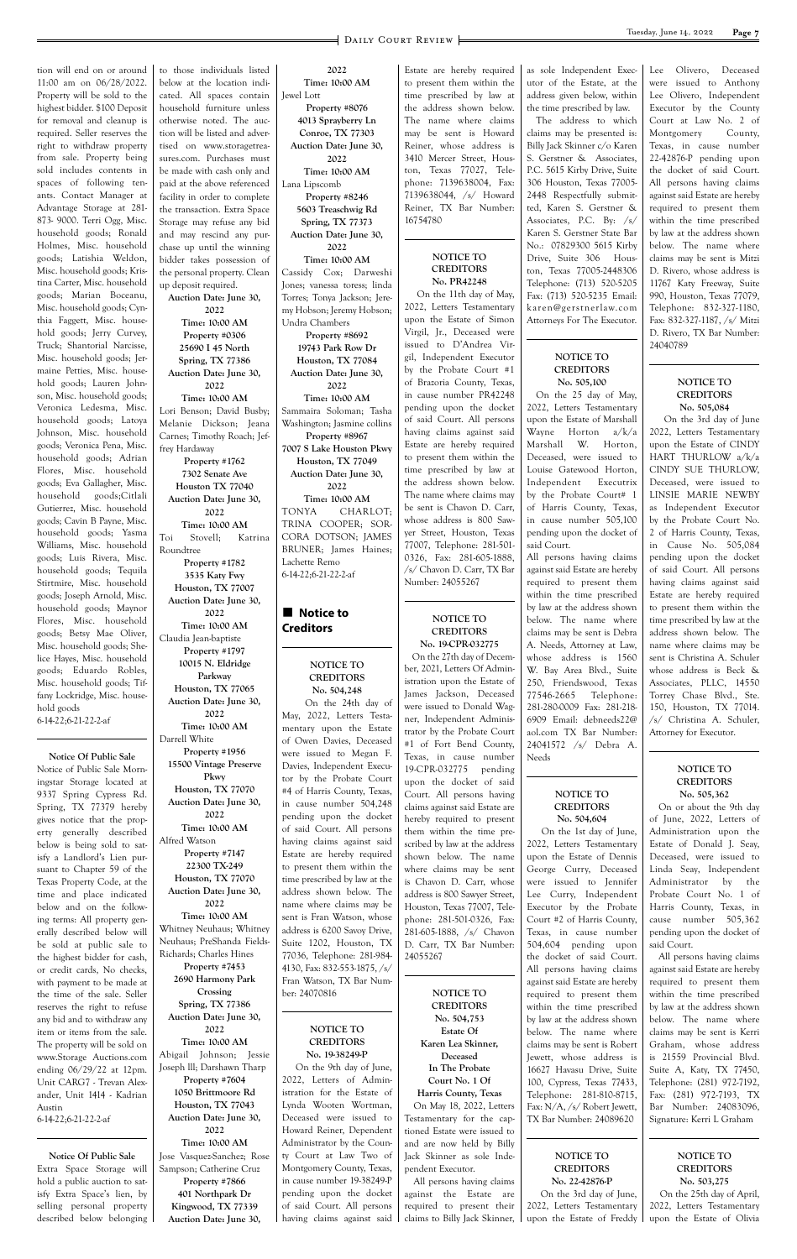tion will end on or around 11:00 am on 06/28/2022. Property will be sold to the highest bidder. \$100 Deposit for removal and cleanup is required. Seller reserves the right to withdraw property from sale. Property being sold includes contents in spaces of following tenants. Contact Manager at Advantage Storage at 281- 873- 9000. Terri Ogg, Misc. household goods; Ronald Holmes, Misc. household goods; Latishia Weldon, Misc. household goods; Kristina Carter, Misc. household goods; Marian Boceanu, Misc. household goods; Cynthia Faggett, Misc. household goods; Jerry Curvey, Truck; Shantorial Narcisse, Misc. household goods; Jermaine Petties, Misc. household goods; Lauren Johnson, Misc. household goods; Veronica Ledesma, Misc. household goods; Latoya Johnson, Misc. household goods; Veronica Pena, Misc. household goods; Adrian Flores, Misc. household goods; Eva Gallagher, Misc. household goods;Citlali Gutierrez, Misc. household goods; Cavin B Payne, Misc. household goods; Yasma Williams, Misc. household goods; Luis Rivera, Misc. household goods; Tequila Stirtmire, Misc. household goods; Joseph Arnold, Misc. household goods; Maynor Flores, Misc. household goods; Betsy Mae Oliver, Misc. household goods; Shelice Hayes, Misc. household goods; Eduardo Robles, Misc. household goods; Tiffany Lockridge, Misc. household goods 6-14-22;6-21-22-2-af

#### **Notice Of Public Sale**

Notice of Public Sale Morningstar Storage located at 9337 Spring Cypress Rd. Spring, TX 77379 hereby gives notice that the property generally described below is being sold to satisfy a Landlord's Lien pursuant to Chapter 59 of the Texas Property Code, at the time and place indicated below and on the following terms: All property generally described below will be sold at public sale to the highest bidder for cash, or credit cards, No checks, with payment to be made at the time of the sale. Seller reserves the right to refuse any bid and to withdraw any item or items from the sale. The property will be sold on www.Storage Auctions.com ending 06/29/22 at 12pm. Unit CARG7 - Trevan Alexander, Unit 1414 - Kadrian Austin 6-14-22;6-21-22-2-af

**Notice Of Public Sale** Extra Space Storage will hold a public auction to satisfy Extra Space's lien, by selling personal property described below belonging

#### **Notice to Creditors**

to those individuals listed below at the location indicated. All spaces contain household furniture unless otherwise noted. The auction will be listed and advertised on www.storagetreasures.com. Purchases must be made with cash only and paid at the above referenced facility in order to complete the transaction. Extra Space Storage may refuse any bid and may rescind any purchase up until the winning bidder takes possession of the personal property. Clean up deposit required. **Auction Date: June 30, 2022 Time: 10:00 AM Property #0306 25690 I 45 North Spring, TX 77386 Auction Date: June 30, 2022 Time: 10:00 AM**

Lori Benson; David Busby; Melanie Dickson; Jeana Carnes; Timothy Roach; Jeffrey Hardaway **Property #1762**

**7302 Senate Ave Houston TX 77040 Auction Date: June 30, 2022 Time: 10:00 AM** Toi Stovell; Katrina Roundtree **Property #1782 3535 Katy Fwy Houston, TX 77007 Auction Date: June 30, 2022 Time: 10:00 AM** Claudia Jean-baptiste **Property #1797 10015 N. Eldridge Parkway Houston, TX 77065 Auction Date: June 30, 2022 Time: 10:00 AM** Darrell White **Property #1956 15500 Vintage Preserve Pkwy Houston, TX 77070 Auction Date: June 30, 2022**

**Time: 10:00 AM** Alfred Watson **Property #7147 22300 TX-249 Houston, TX 77070 Auction Date: June 30, 2022 Time: 10:00 AM**

Whitney Neuhaus; Whitney Neuhaus; PreShanda Fields-Richards; Charles Hines **Property #7453 2690 Harmony Park Crossing Spring, TX 77386 Auction Date: June 30, 2022 Time: 10:00 AM** Abigail Johnson; Jessie Joseph lll; Darshawn Tharp **Property #7604 1050 Brittmoore Rd Houston, TX 77043 Auction Date: June 30, 2022 Time: 10:00 AM** Jose Vasquez-Sanchez; Rose Sampson; Catherine Cruz **Property #7866 401 Northpark Dr Kingwood, TX 77339 Auction Date: June 30,** 

**2022 Time: 10:00 AM** Jewel Lott

**Property #8076 4013 Sprayberry Ln Conroe, TX 77303 Auction Date: June 30,** 

**2022 Time: 10:00 AM** Lana Lipscomb **Property #8246 5603 Treaschwig Rd Spring, TX 77373**

**Auction Date: June 30, 2022**

**Time: 10:00 AM** Cassidy Cox; Darweshi Jones; vanessa toress; linda Torres; Tonya Jackson; Jeremy Hobson; Jeremy Hobson; Undra Chambers

**Property #8692 19743 Park Row Dr Houston, TX 77084 Auction Date: June 30, 2022**

**Time: 10:00 AM** Sammaira Soloman; Tasha Washington; Jasmine collins **Property #8967 7007 S Lake Houston Pkwy Houston, TX 77049 Auction Date: June 30, 2022 Time: 10:00 AM** TONYA CHARLOT; TRINA COOPER; SOR-CORA DOTSON; JAMES BRUNER; James Haines; Lachette Remo 6-14-22;6-21-22-2-af

#### **NOTICE TO CREDITORS No. 504,248**

 On the 24th day of May, 2022, Letters Testamentary upon the Estate of Owen Davies, Deceased were issued to Megan F. Davies, Independent Executor by the Probate Court #4 of Harris County, Texas, in cause number 504,248 pending upon the docket of said Court. All persons having claims against said Estate are hereby required to present them within the time prescribed by law at the address shown below. The name where claims may be sent is Fran Watson, whose

address is 6200 Savoy Drive,

Suite 1202, Houston, TX 77036, Telephone: 281-984- 4130, Fax: 832-553-1875, /s/ Fran Watson, TX Bar Number: 24070816 **NOTICE TO CREDITORS No. 19-38249-P** On the 9th day of June, 2022, Letters of Administration for the Estate of Lynda Wooten Wortman, Deceased were issued to Howard Reiner, Dependent Administrator by the County Court at Law Two of Montgomery County, Texas, in cause number 19-38249-P pending upon the docket of said Court. All persons having claims against said

Estate are hereby required to present them within the time prescribed by law at the address shown below. The name where claims may be sent is Howard Reiner, whose address is 3410 Mercer Street, Houston, Texas 77027, Telephone: 7139638004, Fax: 7139638044, /s/ Howard Reiner, TX Bar Number: 16754780

#### **NOTICE TO CREDITORS No. PR42248**

 On the 11th day of May, 2022, Letters Testamentary upon the Estate of Simon Virgil, Jr., Deceased were issued to D'Andrea Virgil, Independent Executor by the Probate Court #1 of Brazoria County, Texas, in cause number PR42248 pending upon the docket of said Court. All persons having claims against said Estate are hereby required to present them within the time prescribed by law at the address shown below. The name where claims may be sent is Chavon D. Carr, whose address is 800 Sawyer Street, Houston, Texas 77007, Telephone: 281-501- 0326, Fax: 281-605-1888, /s/ Chavon D. Carr, TX Bar Number: 24055267

#### **NOTICE TO CREDITORS No. 19-CPR-032775**

 On the 27th day of December, 2021, Letters Of Administration upon the Estate of James Jackson, Deceased were issued to Donald Wagner, Independent Administrator by the Probate Court #1 of Fort Bend County, Texas, in cause number 19-CPR-032775 pending upon the docket of said Court. All persons having claims against said Estate are hereby required to present them within the time prescribed by law at the address shown below. The name where claims may be sent is Chavon D. Carr, whose address is 800 Sawyer Street, Houston, Texas 77007, Telephone: 281-501-0326, Fax: 281-605-1888, /s/ Chavon D. Carr, TX Bar Number: 24055267 **NOTICE TO CREDITORS No. 504,753 Estate Of Karen Lea Skinner, Deceased In The Probate Court No. 1 Of Harris County, Texas** On May 18, 2022, Letters Testamentary for the captioned Estate were issued to and are now held by Billy Jack Skinner as sole Independent Executor. All persons having claims against the Estate are required to present their claims to Billy Jack Skinner, as sole Independent Executor of the Estate, at the address given below, within the time prescribed by law.

The address to which claims may be presented is: Billy Jack Skinner c/o Karen S. Gerstner & Associates, P.C. 5615 Kirby Drive, Suite 306 Houston, Texas 77005- 2448 Respectfully submitted, Karen S. Gerstner & Associates, P.C. By: /s/ Karen S. Gerstner State Bar No.: 07829300 5615 Kirby Drive, Suite 306 Houston, Texas 77005-2448306 Telephone: (713) 520-5205 Fax: (713) 520-5235 Email: karen@gerstnerlaw.com Attorneys For The Executor.

#### **NOTICE TO CREDITORS No. 505,100**

On the 25 day of May, 2022, Letters Testamentary upon the Estate of Marshall Wayne Horton a/k/a Marshall W. Horton, Deceased, were issued to Louise Gatewood Horton, Independent Executrix by the Probate Court# 1 of Harris County, Texas, in cause number 505,100 pending upon the docket of said Court.

All persons having claims against said Estate are hereby required to present them within the time prescribed by law at the address shown below. The name where claims may be sent is Debra A. Needs, Attorney at Law, whose address is 1560 W. Bay Area Blvd., Suite 250, Friendswood, Texas 77546-2665 Telephone: 281-280-0009 Fax: 281-218- 6909 Email: debneeds22@ aol.com TX Bar Number: 24041572 /s/ Debra A. Needs

#### **NOTICE TO CREDITORS No. 504,604**

 On the 1st day of June, 2022, Letters Testamentary upon the Estate of Dennis George Curry, Deceased were issued to Jennifer Lee Curry, Independent Executor by the Probate Court #2 of Harris County,

Texas, in cause number 504,604 pending upon the docket of said Court. All persons having claims against said Estate are hereby required to present them within the time prescribed by law at the address shown below. The name where claims may be sent is Robert Jewett, whose address is 16627 Havasu Drive, Suite 100, Cypress, Texas 77433, Telephone: 281-810-8715, Fax: N/A, /s/ Robert Jewett, TX Bar Number: 24089620

**NOTICE TO CREDITORS No. 22-42876-P** On the 3rd day of June, 2022, Letters Testamentary upon the Estate of Freddy Lee Olivero, Deceased were issued to Anthony Lee Olivero, Independent Executor by the County Court at Law No. 2 of Montgomery County, Texas, in cause number 22-42876-P pending upon the docket of said Court. All persons having claims against said Estate are hereby required to present them within the time prescribed by law at the address shown below. The name where claims may be sent is Mitzi D. Rivero, whose address is 11767 Katy Freeway, Suite 990, Houston, Texas 77079, Telephone: 832-327-1180, Fax: 832-327-1187, /s/ Mitzi D. Rivero, TX Bar Number: 24040789

#### **NOTICE TO CREDITORS No. 505,084**

 On the 3rd day of June 2022, Letters Testamentary upon the Estate of CINDY HART THURLOW a/k/a CINDY SUE THURLOW, Deceased, were issued to LINSIE MARIE NEWBY as Independent Executor by the Probate Court No. 2 of Harris County, Texas, in Cause No. 505,084 pending upon the docket of said Court. All persons having claims against said Estate are hereby required to present them within the time prescribed by law at the address shown below. The name where claims may be sent is Christina A. Schuler whose address is Beck & Associates, PLLC, 14550 Torrey Chase Blvd., Ste. 150, Houston, TX 77014. /s/ Christina A. Schuler, Attorney for Executor.

#### **NOTICE TO CREDITORS No. 505,362**

On or about the 9th day of June, 2022, Letters of Administration upon the Estate of Donald J. Seay, Deceased, were issued to Linda Seay, Independent Administrator by the Probate Court No. 1 of Harris County, Texas, in cause number 505,362

pending upon the docket of said Court.

All persons having claims against said Estate are hereby required to present them within the time prescribed by law at the address shown below. The name where claims may be sent is Kerri Graham, whose address is 21559 Provincial Blvd. Suite A, Katy, TX 77450, Telephone: (281) 972-7192, Fax: (281) 972-7193, TX Bar Number: 24083096, Signature: Kerri L Graham

#### **NOTICE TO CREDITORS No. 503,275**

 On the 25th day of April, 2022, Letters Testamentary upon the Estate of Olivia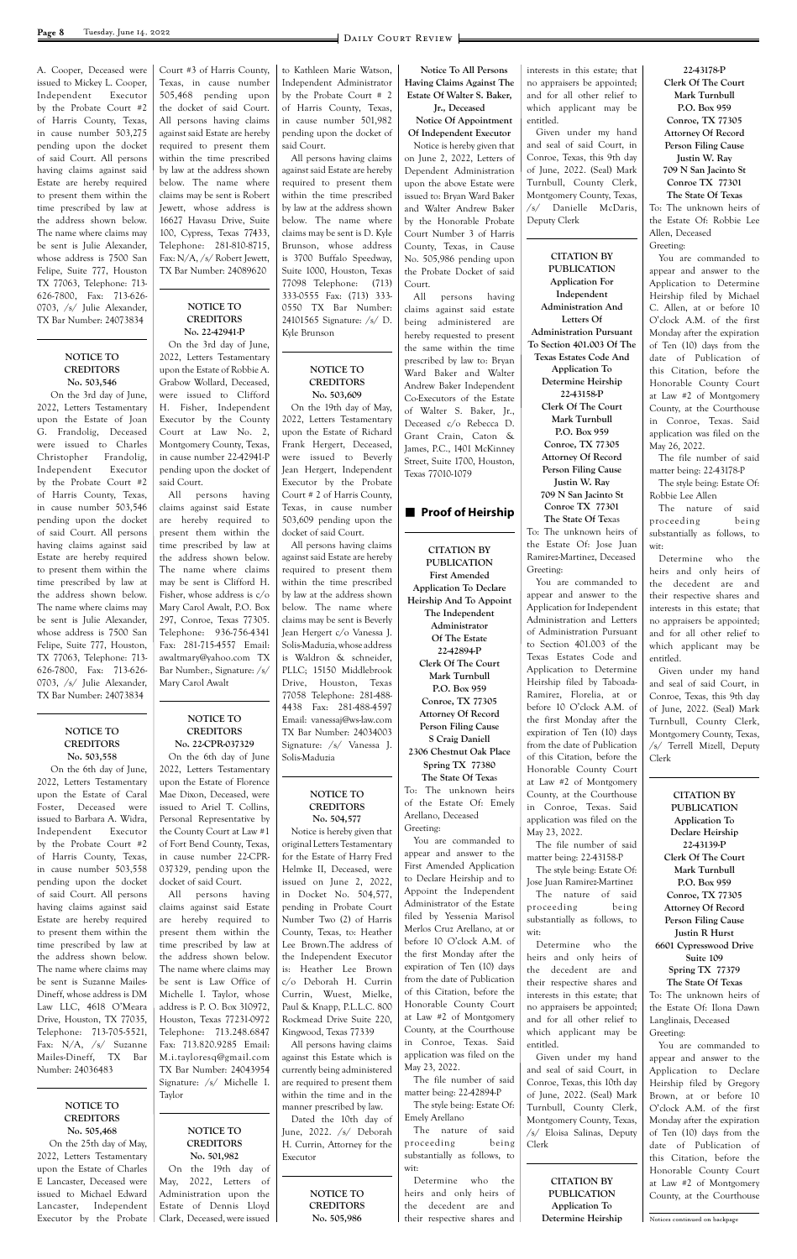A. Cooper, Deceased were issued to Mickey L. Cooper, Independent Executor by the Probate Court #2 of Harris County, Texas, in cause number 503,275 pending upon the docket of said Court. All persons having claims against said Estate are hereby required to present them within the time prescribed by law at the address shown below. The name where claims may be sent is Julie Alexander, whose address is 7500 San Felipe, Suite 777, Houston TX 77063, Telephone: 713- 626-7800, Fax: 713-626- 0703, /s/ Julie Alexander, TX Bar Number: 24073834

#### **NOTICE TO CREDITORS No. 503,546**

 On the 3rd day of June, 2022, Letters Testamentary upon the Estate of Joan G. Frandolig, Deceased were issued to Charles Christopher Frandolig, Independent Executor by the Probate Court #2 of Harris County, Texas, in cause number 503,546 pending upon the docket of said Court. All persons having claims against said Estate are hereby required to present them within the time prescribed by law at the address shown below. The name where claims may be sent is Julie Alexander, whose address is 7500 San Felipe, Suite 777, Houston, TX 77063, Telephone: 713- 626-7800, Fax: 713-626- 0703, /s/ Julie Alexander, TX Bar Number: 24073834

#### **NOTICE TO CREDITORS No. 503,558**

 On the 6th day of June, 2022, Letters Testamentary upon the Estate of Caral Foster, Deceased were issued to Barbara A. Widra, Independent Executor by the Probate Court #2 of Harris County, Texas, in cause number 503,558 pending upon the docket of said Court. All persons having claims against said Estate are hereby required Court #3 of Harris County, Texas, in cause number 505,468 pending upon the docket of said Court. All persons having claims against said Estate are hereby required to present them within the time prescribed by law at the address shown below. The name where claims may be sent is Robert Jewett, whose address is 16627 Havasu Drive, Suite 100, Cypress, Texas 77433, Telephone: 281-810-8715, Fax: N/A, /s/ Robert Jewett, TX Bar Number: 24089620

#### **NOTICE TO CREDITORS No. 22-42941-P**

On the 3rd day of June, 2022, Letters Testamentary upon the Estate of Robbie A. Grabow Wollard, Deceased, were issued to Clifford H. Fisher, Independent Executor by the County Court at Law No. 2, Montgomery County, Texas, in cause number 22-42941-P pending upon the docket of said Court.

All persons having claims against said Estate are hereby required to present them within the time prescribed by law at the address shown below. The name where claims may be sent is Clifford H. Fisher, whose address is c/o Mary Carol Awalt, P.O. Box 297, Conroe, Texas 77305. Telephone: 936-756-4341 Fax: 281-715-4557 Email: awaltmary@yahoo.com TX Bar Number:, Signature: /s/ Mary Carol Awalt

#### **NOTICE TO CREDITORS No. 22-CPR-037329**

On the 6th day of June 2022, Letters Testamentary upon the Estate of Florence Mae Dixon, Deceased, were issued to Ariel T. Collins, Personal Representative by the County Court at Law #1 of Fort Bend County, Texas, in cause number 22-CPR-037329, pending upon the docket of said Court.

All persons having claims against said Estate are hereby required to to Kathleen Marie Watson, Independent Administrator by the Probate Court # 2 of Harris County, Texas, in cause number 501,982 pending upon the docket of said Court.

All persons having claims against said Estate are hereby required to present them within the time prescribed by law at the address shown below. The name where claims may be sent is D. Kyle Brunson, whose address is 3700 Buffalo Speedway, Suite 1000, Houston, Texas 77098 Telephone: (713) 333-0555 Fax: (713) 333- 0550 TX Bar Number: 24101565 Signature: /s/ D. Kyle Brunson

#### **NOTICE TO CREDITORS No. 503,609**

On the 19th day of May, 2022, Letters Testamentary upon the Estate of Richard Frank Hergert, Deceased, were issued to Beverly Jean Hergert, Independent Executor by the Probate Court # 2 of Harris County, Texas, in cause number 503,609 pending upon the docket of said Court.

All persons having claims against said Estate are hereby required to present them within the time prescribed by law at the address shown below. The name where claims may be sent is Beverly Jean Hergert c/o Vanessa J. Solis-Maduzia, whose address is Waldron & schneider, PLLC; 15150 Middlebrook Drive, Houston, Texas 77058 Telephone: 281-488- 4438 Fax: 281-488-4597 Email: vanessaj@ws-law.com TX Bar Number: 24034003 Signature: /s/ Vanessa J. Solis-Maduzia

#### **NOTICE TO CREDITORS No. 504,577**

Notice is hereby given that original Letters Testamentary for the Estate of Harry Fred Helmke II, Deceased, were issued on June 2, 2022, in Docket No. 504,577, pending in Probate Court Number Two (2) of Harris

**Notice To All Persons Having Claims Against The Estate Of Walter S. Baker, Jr., Deceased**

**Notice Of Appointment Of Independent Executor** Notice is hereby given that on June 2, 2022, Letters of Dependent Administration upon the above Estate were issued to: Bryan Ward Baker and Walter Andrew Baker by the Honorable Probate Court Number 3 of Harris County, Texas, in Cause No. 505,986 pending upon the Probate Docket of said Court.

| Estate are hereby required  | are hereby required to       | Number Two (2) of Harris     | THEY DY TESSETHA MATISUL     | substantially as follows, to   | <b>Person Filing Cause</b>    |
|-----------------------------|------------------------------|------------------------------|------------------------------|--------------------------------|-------------------------------|
| to present them within the  | present them within the      | County, Texas, to: Heather   | Merlos Cruz Arellano, at or  | wit:                           | Justin R Hurst                |
| time prescribed by law at   | time prescribed by law at    | Lee Brown.The address of     | before 10 O'clock A.M. of    | Determine<br>who<br>the        | 6601 Cypresswood Drive        |
| the address shown below.    | the address shown below.     | the Independent Executor     | the first Monday after the   | heirs and only heirs of        | Suite 109                     |
| The name where claims may   | The name where claims may    | is: Heather Lee Brown        | expiration of Ten (10) days  | the<br>decedent are<br>and     | Spring TX 77379               |
| be sent is Suzanne Mailes-  | be sent is Law Office of     | c/o Deborah H. Currin        | from the date of Publication | their respective shares and    | The State Of Texas            |
| Dineff, whose address is DM | Michelle I. Taylor, whose    | Currin, Wuest, Mielke,       | of this Citation, before the | interests in this estate; that | To: The unknown heirs of      |
| Law LLC, 4618 O'Meara       | address is P. O. Box 310972, | Paul & Knapp, P.L.L.C. 800   | Honorable County Court       | no appraisers be appointed;    | the Estate Of: Ilona Dawn     |
| Drive, Houston, TX 77035,   | Houston, Texas 77231-0972    | Rockmead Drive Suite 220,    | at Law #2 of Montgomery      | and for all other relief to    | Langlinais, Deceased          |
| Telephone: 713-705-5521,    | Telephone: 713.248.6847      | Kingwood, Texas 77339        | County, at the Courthouse    | which applicant may be         | Greeting:                     |
| Fax: $N/A$ , /s/ Suzanne    | Fax: 713.820.9285 Email:     | All persons having claims    | in Conroe, Texas. Said       | entitled.                      | You are commanded to          |
| Mailes-Dineff, TX<br>Bar    | M.i.tayloresq@gmail.com      | against this Estate which is | application was filed on the | Given under my hand            | appear and answer to the      |
| Number: 24036483            | TX Bar Number: 24043954      | currently being administered | May 23, 2022.                | and seal of said Court, in     | Application to Declare        |
|                             | Signature: /s/ Michelle I.   | are required to present them | The file number of said      | Conroe, Texas, this 10th day   | Heirship filed by Gregory     |
|                             | Taylor                       | within the time and in the   | matter being: 22-42894-P     | of June, 2022. (Seal) Mark     | Brown, at or before 10        |
| <b>NOTICE TO</b>            |                              | manner prescribed by law.    | The style being: Estate Of:  | Turnbull, County Clerk,        | O'clock A.M. of the first     |
| <b>CREDITORS</b>            |                              | Dated the 10th day of        | Emely Arellano               | Montgomery County, Texas,      | Monday after the expiration   |
| No. 505,468                 | NOTICE TO                    | June, 2022. /s/ Deborah      | The nature<br>of said        | /s/ Eloisa Salinas, Deputy     | of Ten (10) days from the     |
| On the 25th day of May,     | <b>CREDITORS</b>             | H. Currin, Attorney for the  | proceeding<br>being          | Clerk                          | date of Publication of        |
| 2022, Letters Testamentary  | No. 501,982                  | Executor                     | substantially as follows, to |                                | this Citation, before the     |
| upon the Estate of Charles  | On the 19th day of           |                              | wit:                         |                                | Honorable County Court        |
| E Lancaster, Deceased were  | May, 2022, Letters of        |                              | Determine<br>who<br>the      | <b>CITATION BY</b>             | at Law #2 of Montgomery       |
| issued to Michael Edward    | Administration upon the      | NOTICE TO                    | heirs and only heirs of      | <b>PUBLICATION</b>             | County, at the Courthouse     |
| Independent<br>Lancaster,   | Estate of Dennis Lloyd       | <b>CREDITORS</b>             | decedent are<br>the<br>and   | Application To                 |                               |
| Executor by the Probate     | Clark, Deceased, were issued | No. 505,986                  | their respective shares and  | Determine Heirship             | Notices continued on backpage |

All persons having claims against said estate being administered are hereby requested to present the same within the time prescribed by law to: Bryan Ward Baker and Walter Andrew Baker Independent Co-Executors of the Estate of Walter S. Baker, Jr., Deceased c/o Rebecca D. Grant Crain, Caton & James, P.C., 1401 McKinney Street, Suite 1700, Houston, Texas 77010-1079

#### **n** Proof of Heirship

**CITATION BY PUBLICATION First Amended Application To Declare Heirship And To Appoint The Independent Administrator Of The Estate 22-42894-P Clerk Of The Court Mark Turnbull P.O. Box 959 Conroe, TX 77305 Attorney Of Record Person Filing Cause S Craig Daniell 2306 Chestnut Oak Place Spring TX 77380 The State Of Texa**s To: The unknown heirs

of the Estate Of: Emely Arellano, Deceased Greeting: You are commanded to

appear and answer to the First Amended Application to Declare Heirship and to Appoint the Independent Administrator of the Estate filed by Yessenia Marisol

interests in this estate; that no appraisers be appointed; and for all other relief to which applicant may be entitled.

Given under my hand and seal of said Court, in Conroe, Texas, this 9th day of June, 2022. (Seal) Mark Turnbull, County Clerk, Montgomery County, Texas, /s/ Danielle McDaris, Deputy Clerk

**CITATION BY PUBLICATION Application For Independent Administration And Letters Of Administration Pursuant To Section 401.003 Of The Texas Estates Code And Application To Determine Heirship 22-43158-P Clerk Of The Court Mark Turnbull P.O. Box 959 Conroe, TX 77305 Attorney Of Record Person Filing Cause Justin W. Ray**

> **709 N San Jacinto St Conroe TX 77301 The State Of Te**xas

To: The unknown heirs of the Estate Of: Jose Juan Ramirez-Martinez, Deceased Greeting:

You are commanded to appear and answer to the Application for Independent Administration and Letters of Administration Pursuant to Section 401.003 of the Texas Estates Code and Application to Determine Heirship filed by Taboada-Ramirez, Florelia, at or before 10 O'clock A.M. of the first Monday after the expiration of Ten (10) days from the date of Publication of this Citation, before the Honorable County Court at Law #2 of Montgomery County, at the Courthouse in Conroe, Texas. Said application was filed on the May 23, 2022.

The file number of said matter being: 22-43158-P

The style being: Estate Of: Jose Juan Ramirez-Martinez

The nature of said proceeding being substantially as follows, to

**22-43178-P Clerk Of The Court Mark Turnbull P.O. Box 959 Conroe, TX 77305 Attorney Of Record Person Filing Cause Justin W. Ray 709 N San Jacinto St Conroe TX 77301 The State Of Texas**

To: The unknown heirs of the Estate Of: Robbie Lee Allen, Deceased Greeting:

You are commanded to appear and answer to the Application to Determine Heirship filed by Michael C. Allen, at or before 10 O'clock A.M. of the first Monday after the expiration of Ten (10) days from the date of Publication of this Citation, before the Honorable County Court at Law #2 of Montgomery County, at the Courthouse in Conroe, Texas. Said application was filed on the May 26, 2022.

The file number of said matter being: 22-43178-P

The style being: Estate Of: Robbie Lee Allen

The nature of said proceeding being substantially as follows, to wit:

Determine who the heirs and only heirs of the decedent are and their respective shares and interests in this estate; that no appraisers be appointed; and for all other relief to which applicant may be entitled.

Given under my hand and seal of said Court, in Conroe, Texas, this 9th day of June, 2022. (Seal) Mark Turnbull, County Clerk, Montgomery County, Texas, /s/ Terrell Mizell, Deputy Clerk

> **CITATION BY PUBLICATION Application To Declare Heirship 22-43139-P Clerk Of The Court Mark Turnbull P.O. Box 959 Conroe, TX 77305 Attorney Of Record Person Filing Cause**